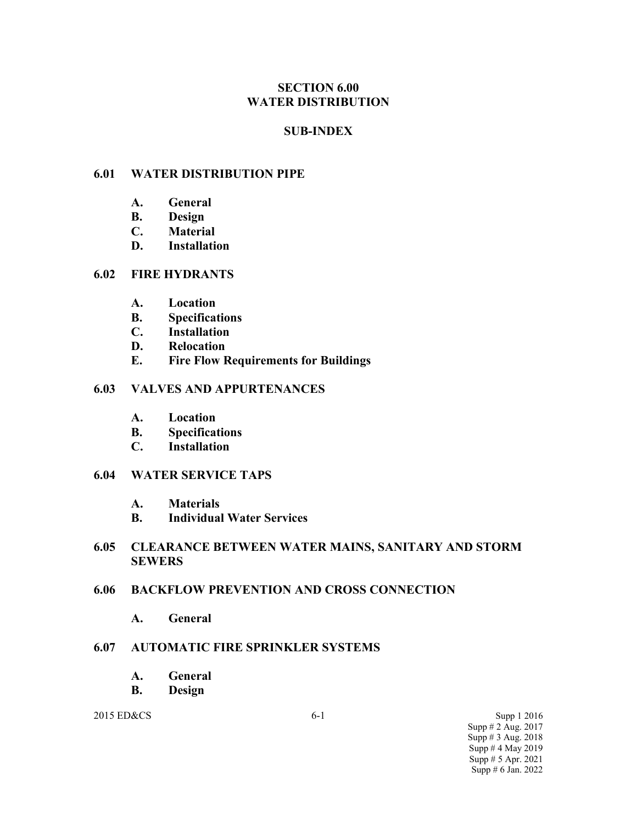### **SECTION 6.00 WATER DISTRIBUTION**

### **SUB-INDEX**

### **6.01 WATER DISTRIBUTION PIPE**

- **A. General**
- **B. Design**
- **C. Material**
- **D. Installation**

### **6.02 FIRE HYDRANTS**

- **A. Location**
- **B. Specifications**
- **C. Installation**
- **D. Relocation**
- **E. Fire Flow Requirements for Buildings**

### **6.03 VALVES AND APPURTENANCES**

- **A. Location**
- **B. Specifications**
- **C. Installation**

### **6.04 WATER SERVICE TAPS**

- **A. Materials**
- **B. Individual Water Services**

### **6.05 CLEARANCE BETWEEN WATER MAINS, SANITARY AND STORM SEWERS**

### **6.06 BACKFLOW PREVENTION AND CROSS CONNECTION**

**A. General**

### **6.07 AUTOMATIC FIRE SPRINKLER SYSTEMS**

- **A. General**
- **B. Design**

2015 ED&CS 6-1 Supp 1 2016 Supp # 2 Aug. 2017 Supp # 3 Aug. 2018 Supp  $# 4$  May 2019 Supp # 5 Apr. 2021 Supp # 6 Jan. 2022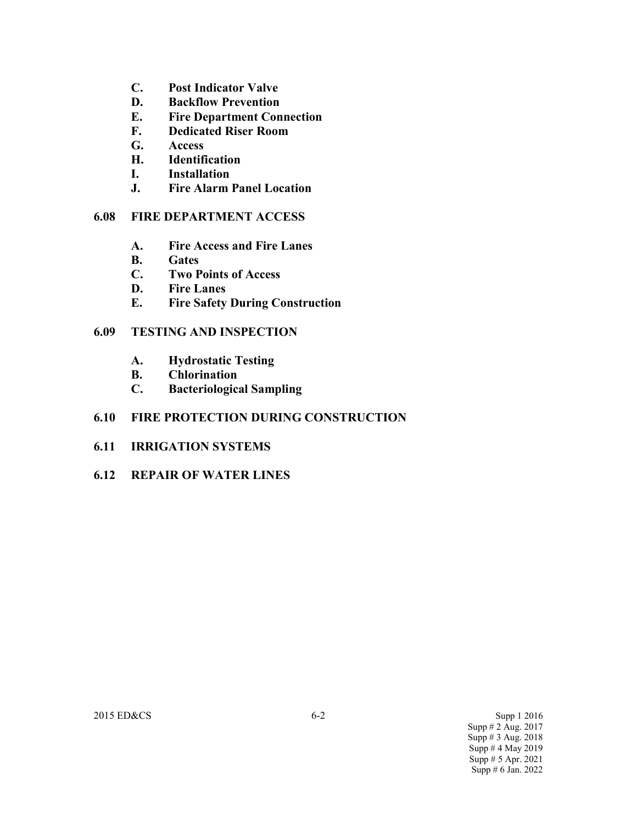- **C. Post Indicator Valve**
- **D. Backflow Prevention**
- **E. Fire Department Connection**
- **F. Dedicated Riser Room**
- **G. Access**
- **H. Identification**
- **I. Installation**
- **J. Fire Alarm Panel Location**

### **6.08 FIRE DEPARTMENT ACCESS**

- **A. Fire Access and Fire Lanes**
- **B. Gates**
- **C. Two Points of Access**
- **D. Fire Lanes**
- **E. Fire Safety During Construction**

### **6.09 TESTING AND INSPECTION**

- **A. Hydrostatic Testing**
- **B. Chlorination**
- **C. Bacteriological Sampling**

### **6.10 FIRE PROTECTION DURING CONSTRUCTION**

- **6.11 IRRIGATION SYSTEMS**
- **6.12 REPAIR OF WATER LINES**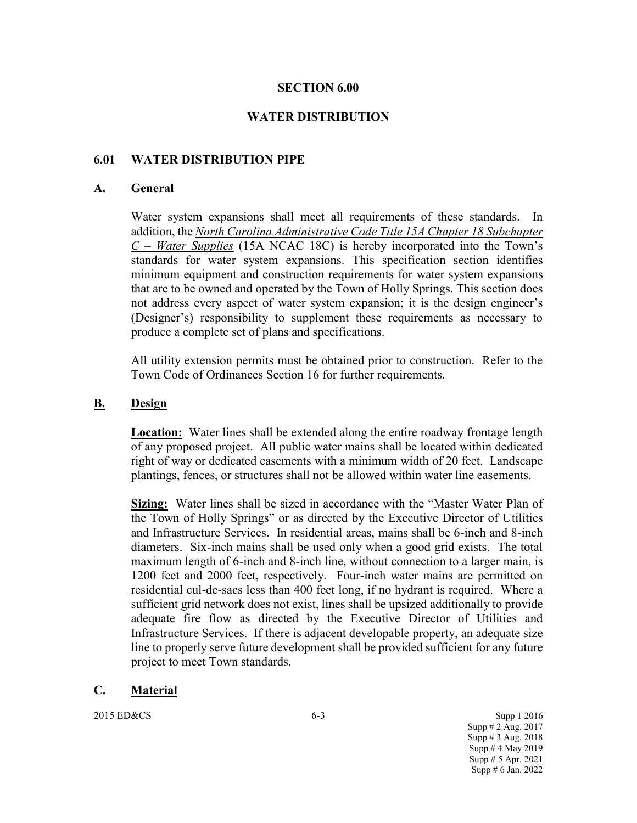### **SECTION 6.00**

### **WATER DISTRIBUTION**

### **6.01 WATER DISTRIBUTION PIPE**

#### **A. General**

Water system expansions shall meet all requirements of these standards. In addition, the *North Carolina Administrative Code Title 15A Chapter 18 Subchapter C – Water Supplies* (15A NCAC 18C) is hereby incorporated into the Town's standards for water system expansions. This specification section identifies minimum equipment and construction requirements for water system expansions that are to be owned and operated by the Town of Holly Springs. This section does not address every aspect of water system expansion; it is the design engineer's (Designer's) responsibility to supplement these requirements as necessary to produce a complete set of plans and specifications.

All utility extension permits must be obtained prior to construction. Refer to the Town Code of Ordinances Section 16 for further requirements.

#### **B. Design**

**Location:** Water lines shall be extended along the entire roadway frontage length of any proposed project. All public water mains shall be located within dedicated right of way or dedicated easements with a minimum width of 20 feet. Landscape plantings, fences, or structures shall not be allowed within water line easements.

**Sizing:** Water lines shall be sized in accordance with the "Master Water Plan of the Town of Holly Springs" or as directed by the Executive Director of Utilities and Infrastructure Services. In residential areas, mains shall be 6-inch and 8-inch diameters. Six-inch mains shall be used only when a good grid exists. The total maximum length of 6-inch and 8-inch line, without connection to a larger main, is 1200 feet and 2000 feet, respectively. Four-inch water mains are permitted on residential cul-de-sacs less than 400 feet long, if no hydrant is required. Where a sufficient grid network does not exist, lines shall be upsized additionally to provide adequate fire flow as directed by the Executive Director of Utilities and Infrastructure Services. If there is adjacent developable property, an adequate size line to properly serve future development shall be provided sufficient for any future project to meet Town standards.

#### **C. Material**

2015 ED&CS 6-3 Supp 1 2016 Supp # 2 Aug. 2017 Supp # 3 Aug. 2018 Supp  $# 4$  May 2019 Supp # 5 Apr. 2021 Supp # 6 Jan. 2022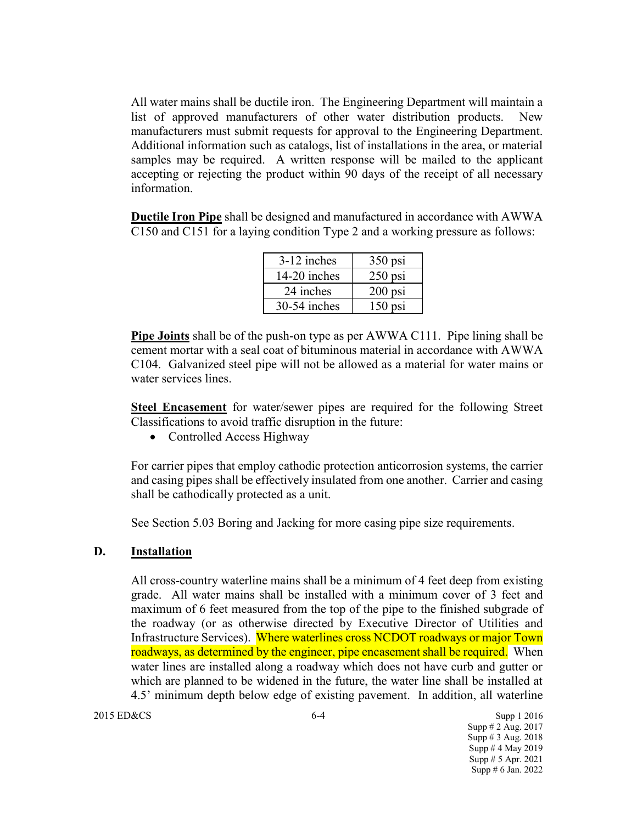All water mains shall be ductile iron. The Engineering Department will maintain a list of approved manufacturers of other water distribution products. New manufacturers must submit requests for approval to the Engineering Department. Additional information such as catalogs, list of installations in the area, or material samples may be required. A written response will be mailed to the applicant accepting or rejecting the product within 90 days of the receipt of all necessary information.

**Ductile Iron Pipe** shall be designed and manufactured in accordance with AWWA C150 and C151 for a laying condition Type 2 and a working pressure as follows:

| 3-12 inches    | $350$ psi |
|----------------|-----------|
| 14-20 inches   | $250$ psi |
| 24 inches      | $200$ psi |
| $30-54$ inches | $150$ psi |

**Pipe Joints** shall be of the push-on type as per AWWA C111. Pipe lining shall be cement mortar with a seal coat of bituminous material in accordance with AWWA C104. Galvanized steel pipe will not be allowed as a material for water mains or water services lines.

**Steel Encasement** for water/sewer pipes are required for the following Street Classifications to avoid traffic disruption in the future:

• Controlled Access Highway

For carrier pipes that employ cathodic protection anticorrosion systems, the carrier and casing pipes shall be effectively insulated from one another. Carrier and casing shall be cathodically protected as a unit.

See Section 5.03 Boring and Jacking for more casing pipe size requirements.

### **D. Installation**

All cross-country waterline mains shall be a minimum of 4 feet deep from existing grade. All water mains shall be installed with a minimum cover of 3 feet and maximum of 6 feet measured from the top of the pipe to the finished subgrade of the roadway (or as otherwise directed by Executive Director of Utilities and Infrastructure Services). Where waterlines cross NCDOT roadways or major Town roadways, as determined by the engineer, pipe encasement shall be required. When water lines are installed along a roadway which does not have curb and gutter or which are planned to be widened in the future, the water line shall be installed at 4.5' minimum depth below edge of existing pavement. In addition, all waterline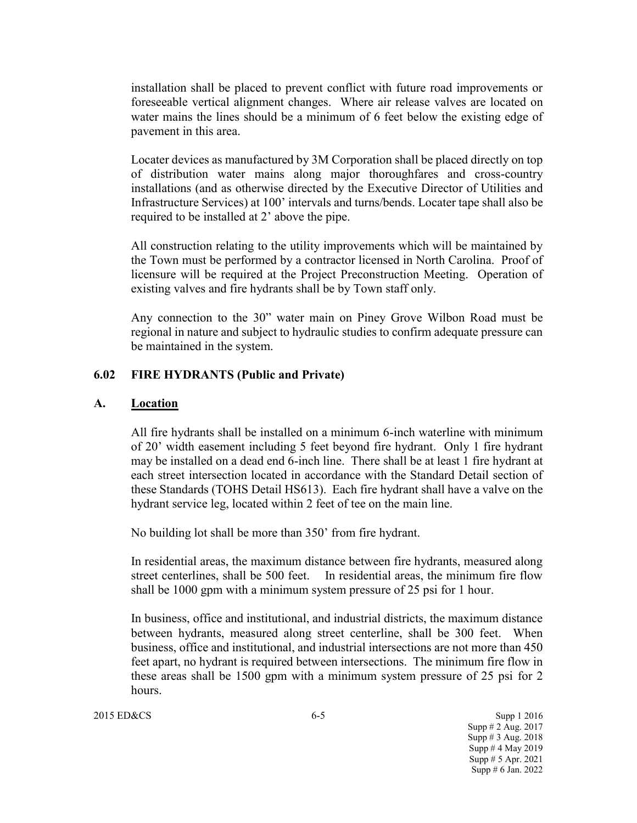installation shall be placed to prevent conflict with future road improvements or foreseeable vertical alignment changes. Where air release valves are located on water mains the lines should be a minimum of 6 feet below the existing edge of pavement in this area.

Locater devices as manufactured by 3M Corporation shall be placed directly on top of distribution water mains along major thoroughfares and cross-country installations (and as otherwise directed by the Executive Director of Utilities and Infrastructure Services) at 100' intervals and turns/bends. Locater tape shall also be required to be installed at 2' above the pipe.

All construction relating to the utility improvements which will be maintained by the Town must be performed by a contractor licensed in North Carolina. Proof of licensure will be required at the Project Preconstruction Meeting. Operation of existing valves and fire hydrants shall be by Town staff only.

Any connection to the 30" water main on Piney Grove Wilbon Road must be regional in nature and subject to hydraulic studies to confirm adequate pressure can be maintained in the system.

### **6.02 FIRE HYDRANTS (Public and Private)**

#### **A. Location**

All fire hydrants shall be installed on a minimum 6-inch waterline with minimum of 20' width easement including 5 feet beyond fire hydrant. Only 1 fire hydrant may be installed on a dead end 6-inch line. There shall be at least 1 fire hydrant at each street intersection located in accordance with the Standard Detail section of these Standards (TOHS Detail HS613). Each fire hydrant shall have a valve on the hydrant service leg, located within 2 feet of tee on the main line.

No building lot shall be more than 350' from fire hydrant.

In residential areas, the maximum distance between fire hydrants, measured along street centerlines, shall be 500 feet. In residential areas, the minimum fire flow shall be 1000 gpm with a minimum system pressure of 25 psi for 1 hour.

In business, office and institutional, and industrial districts, the maximum distance between hydrants, measured along street centerline, shall be 300 feet. When business, office and institutional, and industrial intersections are not more than 450 feet apart, no hydrant is required between intersections. The minimum fire flow in these areas shall be 1500 gpm with a minimum system pressure of 25 psi for 2 hours.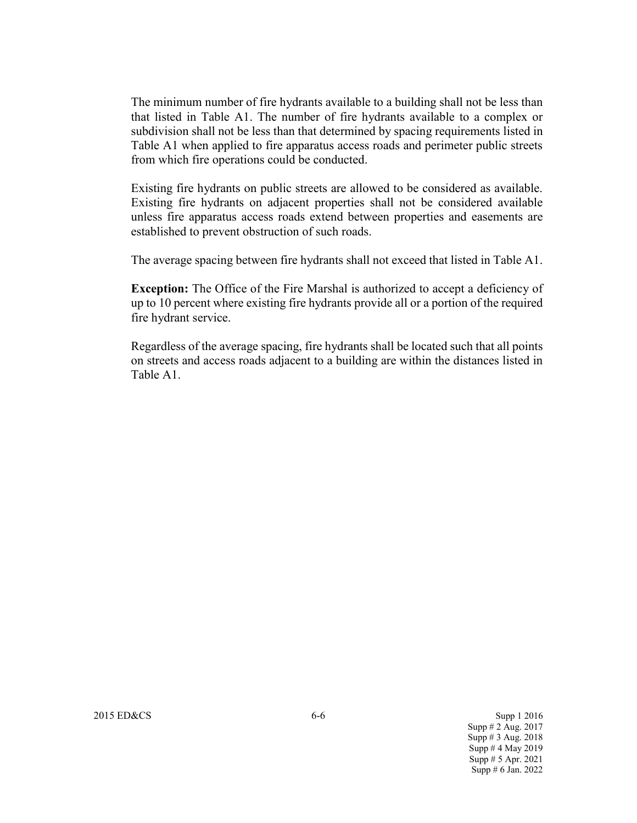The minimum number of fire hydrants available to a building shall not be less than that listed in Table A1. The number of fire hydrants available to a complex or subdivision shall not be less than that determined by spacing requirements listed in Table A1 when applied to fire apparatus access roads and perimeter public streets from which fire operations could be conducted.

Existing fire hydrants on public streets are allowed to be considered as available. Existing fire hydrants on adjacent properties shall not be considered available unless fire apparatus access roads extend between properties and easements are established to prevent obstruction of such roads.

The average spacing between fire hydrants shall not exceed that listed in Table A1.

**Exception:** The Office of the Fire Marshal is authorized to accept a deficiency of up to 10 percent where existing fire hydrants provide all or a portion of the required fire hydrant service.

Regardless of the average spacing, fire hydrants shall be located such that all points on streets and access roads adjacent to a building are within the distances listed in Table A1.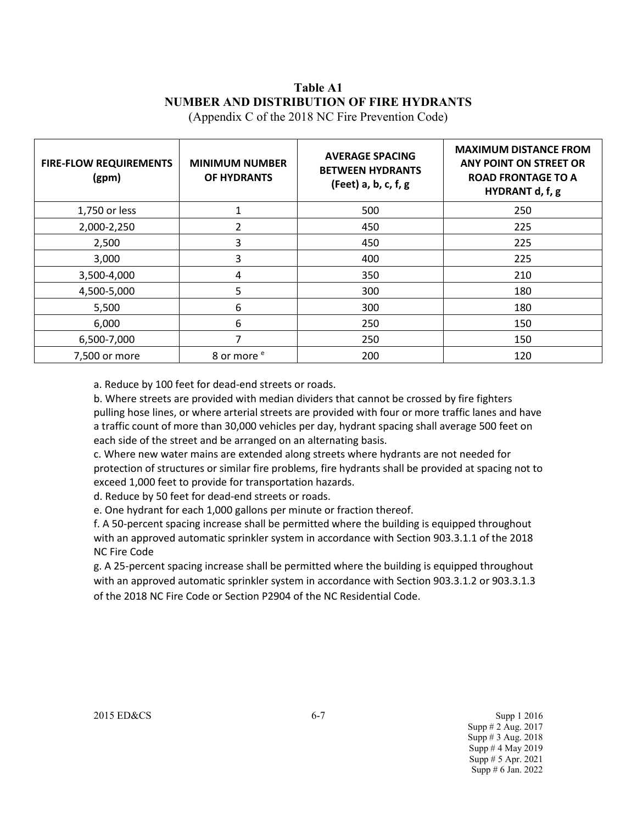# **Table A1 NUMBER AND DISTRIBUTION OF FIRE HYDRANTS**

(Appendix C of the 2018 NC Fire Prevention Code)

| <b>FIRE-FLOW REQUIREMENTS</b><br>(gpm) | <b>MINIMUM NUMBER</b><br>OF HYDRANTS | <b>AVERAGE SPACING</b><br><b>BETWEEN HYDRANTS</b><br>(Feet) a, b, c, f, g | <b>MAXIMUM DISTANCE FROM</b><br>ANY POINT ON STREET OR<br><b>ROAD FRONTAGE TO A</b><br>HYDRANT d, f, g |
|----------------------------------------|--------------------------------------|---------------------------------------------------------------------------|--------------------------------------------------------------------------------------------------------|
| 1,750 or less                          |                                      | 500                                                                       | 250                                                                                                    |
| 2,000-2,250                            | $\mathfrak{p}$                       | 450                                                                       | 225                                                                                                    |
| 2,500                                  | 3                                    | 450                                                                       | 225                                                                                                    |
| 3,000                                  | 3                                    | 400                                                                       | 225                                                                                                    |
| 3,500-4,000                            | 4                                    | 350                                                                       | 210                                                                                                    |
| 4,500-5,000                            | 5                                    | 300                                                                       | 180                                                                                                    |
| 5,500                                  | 6                                    | 300                                                                       | 180                                                                                                    |
| 6,000                                  | 6                                    | 250                                                                       | 150                                                                                                    |
| 6,500-7,000                            | 7                                    | 250                                                                       | 150                                                                                                    |
| 7,500 or more                          | 8 or more <sup>e</sup>               | 200                                                                       | 120                                                                                                    |

a. Reduce by 100 feet for dead-end streets or roads.

b. Where streets are provided with median dividers that cannot be crossed by fire fighters pulling hose lines, or where arterial streets are provided with four or more traffic lanes and have a traffic count of more than 30,000 vehicles per day, hydrant spacing shall average 500 feet on each side of the street and be arranged on an alternating basis.

c. Where new water mains are extended along streets where hydrants are not needed for protection of structures or similar fire problems, fire hydrants shall be provided at spacing not to exceed 1,000 feet to provide for transportation hazards.

d. Reduce by 50 feet for dead-end streets or roads.

e. One hydrant for each 1,000 gallons per minute or fraction thereof.

f. A 50-percent spacing increase shall be permitted where the building is equipped throughout with an approved automatic sprinkler system in accordance with Section 903.3.1.1 of the 2018 NC Fire Code

g. A 25-percent spacing increase shall be permitted where the building is equipped throughout with an approved automatic sprinkler system in accordance with Section 903.3.1.2 or 903.3.1.3 of the 2018 NC Fire Code or Section P2904 of the NC Residential Code.

2015 ED&CS Supp 1 2016 Supp # 2 Aug. 2017 Supp # 3 Aug. 2018 Supp # 4 May 2019 Supp # 5 Apr. 2021 Supp # 6 Jan. 2022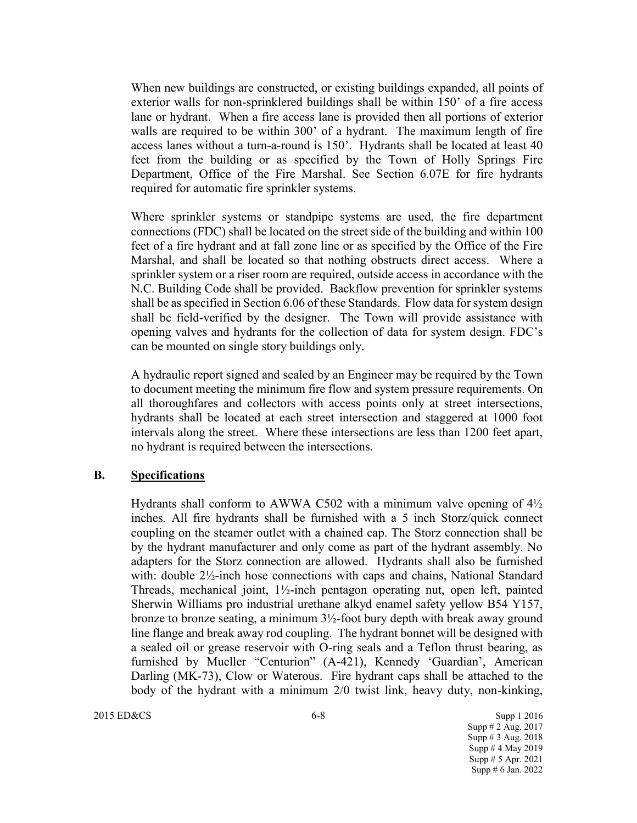When new buildings are constructed, or existing buildings expanded, all points of exterior walls for non-sprinklered buildings shall be within 150' of a fire access lane or hydrant. When a fire access lane is provided then all portions of exterior walls are required to be within 300' of a hydrant. The maximum length of fire access lanes without a turn-a-round is 150'. Hydrants shall be located at least 40 feet from the building or as specified by the Town of Holly Springs Fire Department, Office of the Fire Marshal. See Section 6.07E for fire hydrants required for automatic fire sprinkler systems.

Where sprinkler systems or standpipe systems are used, the fire department connections (FDC) shall be located on the street side of the building and within 100 feet of a fire hydrant and at fall zone line or as specified by the Office of the Fire Marshal, and shall be located so that nothing obstructs direct access. Where a sprinkler system or a riser room are required, outside access in accordance with the N.C. Building Code shall be provided. Backflow prevention for sprinkler systems shall be as specified in Section 6.06 of these Standards. Flow data for system design shall be field-verified by the designer. The Town will provide assistance with opening valves and hydrants for the collection of data for system design. FDC's can be mounted on single story buildings only.

A hydraulic report signed and sealed by an Engineer may be required by the Town to document meeting the minimum fire flow and system pressure requirements. On all thoroughfares and collectors with access points only at street intersections, hydrants shall be located at each street intersection and staggered at 1000 foot intervals along the street. Where these intersections are less than 1200 feet apart, no hydrant is required between the intersections.

#### **B. Specifications**

Hydrants shall conform to AWWA C502 with a minimum valve opening of  $4\frac{1}{2}$ inches. All fire hydrants shall be furnished with a 5 inch Storz/quick connect coupling on the steamer outlet with a chained cap. The Storz connection shall be by the hydrant manufacturer and only come as part of the hydrant assembly. No adapters for the Storz connection are allowed. Hydrants shall also be furnished with: double 2½-inch hose connections with caps and chains, National Standard Threads, mechanical joint, 1½-inch pentagon operating nut, open left, painted Sherwin Williams pro industrial urethane alkyd enamel safety yellow B54 Y157, bronze to bronze seating, a minimum 3½-foot bury depth with break away ground line flange and break away rod coupling. The hydrant bonnet will be designed with a sealed oil or grease reservoir with O-ring seals and a Teflon thrust bearing, as furnished by Mueller "Centurion" (A-421), Kennedy 'Guardian', American Darling (MK-73), Clow or Waterous. Fire hydrant caps shall be attached to the body of the hydrant with a minimum 2/0 twist link, heavy duty, non-kinking,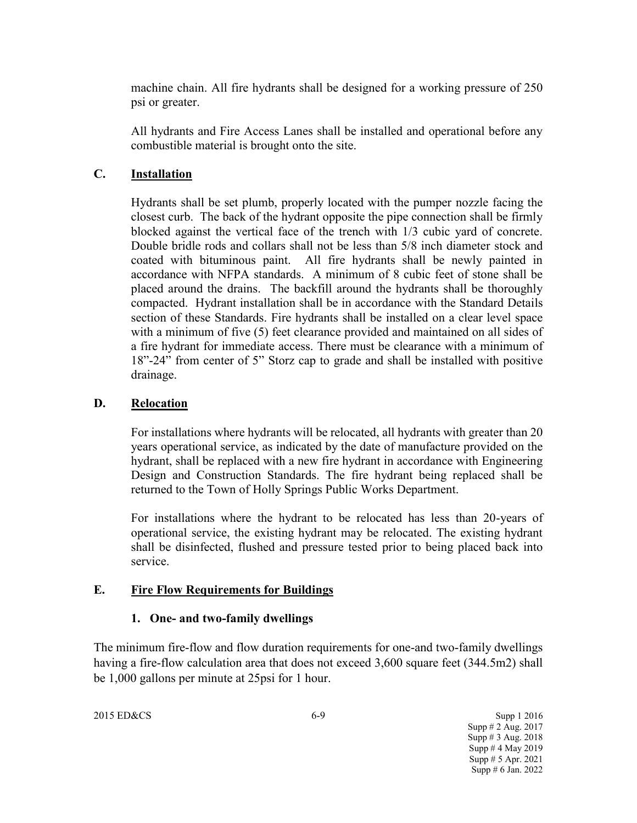machine chain. All fire hydrants shall be designed for a working pressure of 250 psi or greater.

All hydrants and Fire Access Lanes shall be installed and operational before any combustible material is brought onto the site.

### **C. Installation**

Hydrants shall be set plumb, properly located with the pumper nozzle facing the closest curb. The back of the hydrant opposite the pipe connection shall be firmly blocked against the vertical face of the trench with 1/3 cubic yard of concrete. Double bridle rods and collars shall not be less than 5/8 inch diameter stock and coated with bituminous paint. All fire hydrants shall be newly painted in accordance with NFPA standards. A minimum of 8 cubic feet of stone shall be placed around the drains. The backfill around the hydrants shall be thoroughly compacted. Hydrant installation shall be in accordance with the Standard Details section of these Standards. Fire hydrants shall be installed on a clear level space with a minimum of five (5) feet clearance provided and maintained on all sides of a fire hydrant for immediate access. There must be clearance with a minimum of 18"-24" from center of 5" Storz cap to grade and shall be installed with positive drainage.

### **D. Relocation**

For installations where hydrants will be relocated, all hydrants with greater than 20 years operational service, as indicated by the date of manufacture provided on the hydrant, shall be replaced with a new fire hydrant in accordance with Engineering Design and Construction Standards. The fire hydrant being replaced shall be returned to the Town of Holly Springs Public Works Department.

For installations where the hydrant to be relocated has less than 20-years of operational service, the existing hydrant may be relocated. The existing hydrant shall be disinfected, flushed and pressure tested prior to being placed back into service.

### **E. Fire Flow Requirements for Buildings**

### **1. One- and two-family dwellings**

The minimum fire-flow and flow duration requirements for one-and two-family dwellings having a fire-flow calculation area that does not exceed 3,600 square feet (344.5m2) shall be 1,000 gallons per minute at 25psi for 1 hour.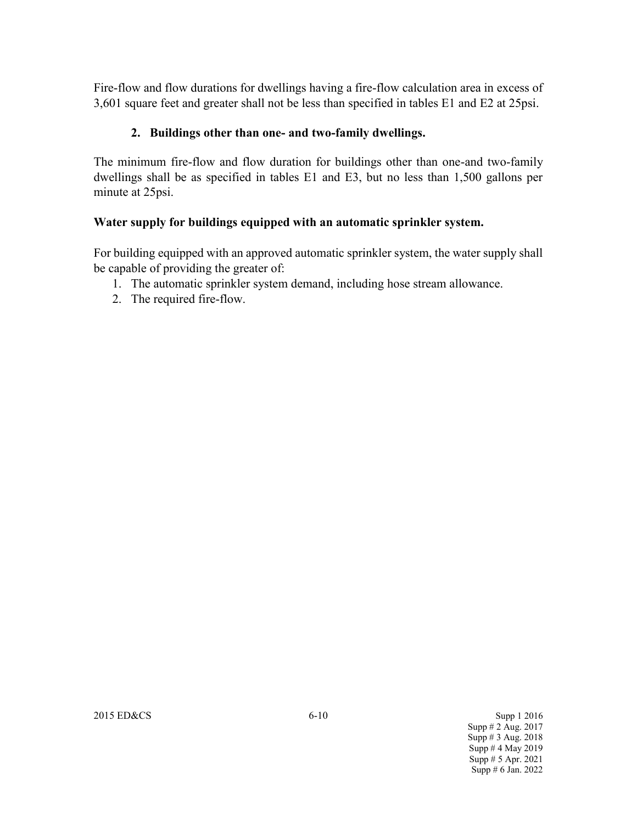Fire-flow and flow durations for dwellings having a fire-flow calculation area in excess of 3,601 square feet and greater shall not be less than specified in tables E1 and E2 at 25psi.

## **2. Buildings other than one- and two-family dwellings.**

The minimum fire-flow and flow duration for buildings other than one-and two-family dwellings shall be as specified in tables E1 and E3, but no less than 1,500 gallons per minute at 25psi.

## **Water supply for buildings equipped with an automatic sprinkler system.**

For building equipped with an approved automatic sprinkler system, the water supply shall be capable of providing the greater of:

- 1. The automatic sprinkler system demand, including hose stream allowance.
- 2. The required fire-flow.

2015 ED&CS 6-10 Supp 1 2016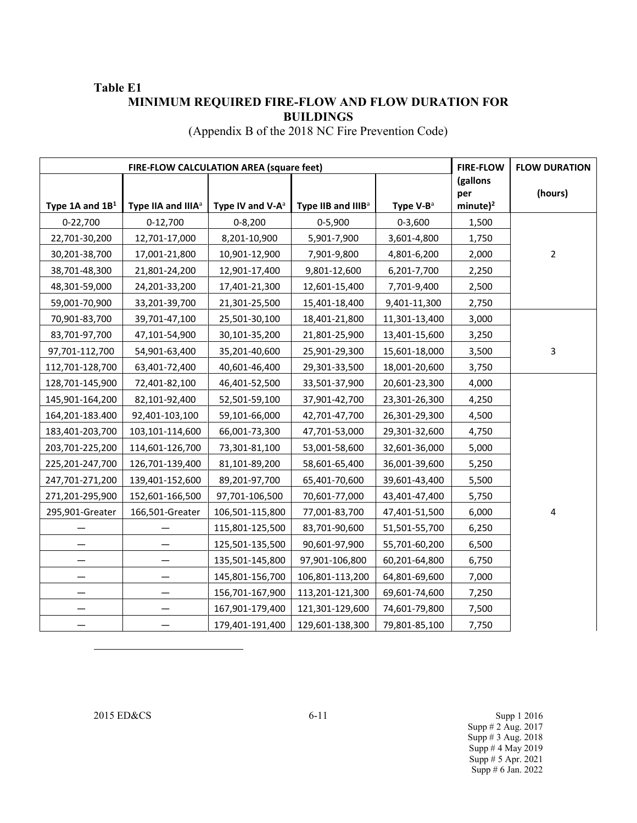### **Table E1 MINIMUM REQUIRED FIRE-FLOW AND FLOW DURATION FOR BUILDINGS**

(Appendix B of the 2018 NC Fire Prevention Code)

| FIRE-FLOW CALCULATION AREA (square feet) |                                |                              | <b>FIRE-FLOW</b>               | <b>FLOW DURATION</b> |                    |                |
|------------------------------------------|--------------------------------|------------------------------|--------------------------------|----------------------|--------------------|----------------|
|                                          |                                |                              |                                |                      | (gallons           |                |
| Type 1A and $1B1$                        | Type IIA and IIIA <sup>a</sup> | Type IV and V-A <sup>a</sup> | Type IIB and IIIB <sup>a</sup> | Type $V-B^a$         | per<br>$minute)^2$ | (hours)        |
| 0-22,700                                 | $0-12,700$                     | $0 - 8,200$                  | $0-5,900$                      | $0 - 3,600$          | 1,500              |                |
| 22,701-30,200                            | 12,701-17,000                  | 8,201-10,900                 | 5,901-7,900                    | 3,601-4,800          | 1,750              |                |
| 30,201-38,700                            | 17,001-21,800                  | 10,901-12,900                | 7,901-9,800                    | 4,801-6,200          | 2,000              | $\overline{2}$ |
| 38,701-48,300                            | 21,801-24,200                  | 12,901-17,400                | 9,801-12,600                   | 6,201-7,700          | 2,250              |                |
| 48,301-59,000                            | 24,201-33,200                  | 17,401-21,300                | 12,601-15,400                  | 7,701-9,400          | 2,500              |                |
| 59,001-70,900                            | 33,201-39,700                  | 21,301-25,500                | 15,401-18,400                  | 9,401-11,300         | 2,750              |                |
| 70,901-83,700                            | 39,701-47,100                  | 25,501-30,100                | 18,401-21,800                  | 11,301-13,400        | 3,000              |                |
| 83,701-97,700                            | 47,101-54,900                  | 30,101-35,200                | 21,801-25,900                  | 13,401-15,600        | 3,250              |                |
| 97,701-112,700                           | 54,901-63,400                  | 35,201-40,600                | 25,901-29,300                  | 15,601-18,000        | 3,500              | 3              |
| 112,701-128,700                          | 63,401-72,400                  | 40,601-46,400                | 29,301-33,500                  | 18,001-20,600        | 3,750              |                |
| 128,701-145,900                          | 72,401-82,100                  | 46,401-52,500                | 33,501-37,900                  | 20,601-23,300        | 4,000              |                |
| 145,901-164,200                          | 82,101-92,400                  | 52,501-59,100                | 37,901-42,700                  | 23,301-26,300        | 4,250              |                |
| 164,201-183.400                          | 92,401-103,100                 | 59,101-66,000                | 42,701-47,700                  | 26,301-29,300        | 4,500              |                |
| 183,401-203,700                          | 103,101-114,600                | 66,001-73,300                | 47,701-53,000                  | 29,301-32,600        | 4,750              |                |
| 203,701-225,200                          | 114,601-126,700                | 73,301-81,100                | 53,001-58,600                  | 32,601-36,000        | 5,000              |                |
| 225,201-247,700                          | 126,701-139,400                | 81,101-89,200                | 58,601-65,400                  | 36,001-39,600        | 5,250              |                |
| 247,701-271,200                          | 139,401-152,600                | 89,201-97,700                | 65,401-70,600                  | 39,601-43,400        | 5,500              |                |
| 271,201-295,900                          | 152,601-166,500                | 97,701-106,500               | 70,601-77,000                  | 43,401-47,400        | 5,750              |                |
| 295,901-Greater                          | 166,501-Greater                | 106,501-115,800              | 77,001-83,700                  | 47,401-51,500        | 6,000              | 4              |
|                                          |                                | 115,801-125,500              | 83,701-90,600                  | 51,501-55,700        | 6,250              |                |
|                                          |                                | 125,501-135,500              | 90,601-97,900                  | 55,701-60,200        | 6,500              |                |
|                                          |                                | 135,501-145,800              | 97,901-106,800                 | 60,201-64,800        | 6,750              |                |
|                                          |                                | 145,801-156,700              | 106,801-113,200                | 64,801-69,600        | 7,000              |                |
|                                          |                                | 156,701-167,900              | 113,201-121,300                | 69,601-74,600        | 7,250              |                |
|                                          |                                | 167,901-179,400              | 121,301-129,600                | 74,601-79,800        | 7,500              |                |
|                                          |                                | 179,401-191,400              | 129,601-138,300                | 79,801-85,100        | 7,750              |                |

 $\overline{a}$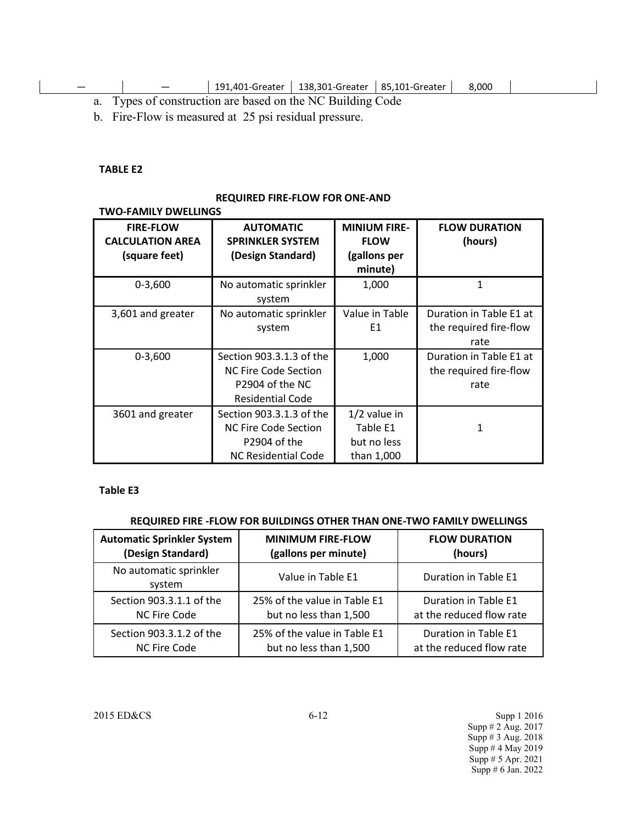|  |  |  |  | 191,401-Greater   138,301-Greater   85,101-Greater |  | 8.000 |
|--|--|--|--|----------------------------------------------------|--|-------|
|--|--|--|--|----------------------------------------------------|--|-------|

a. Types of construction are based on the NC Building Code

b. Fire-Flow is measured at 25 psi residual pressure.

#### **TABLE E2**

#### **REQUIRED FIRE-FLOW FOR ONE-AND**

#### **TWO-FAMILY DWELLINGS**

| <b>FIRE-FLOW</b><br><b>CALCULATION AREA</b><br>(square feet) | <b>AUTOMATIC</b><br><b>SPRINKLER SYSTEM</b><br>(Design Standard)                                      | <b>MINIUM FIRE-</b><br><b>FLOW</b><br>(gallons per      | <b>FLOW DURATION</b><br>(hours)                           |
|--------------------------------------------------------------|-------------------------------------------------------------------------------------------------------|---------------------------------------------------------|-----------------------------------------------------------|
|                                                              |                                                                                                       | minute)                                                 |                                                           |
| $0 - 3,600$                                                  | No automatic sprinkler<br>system                                                                      | 1,000                                                   | 1                                                         |
| 3,601 and greater                                            | No automatic sprinkler<br>system                                                                      | Value in Table<br>E1                                    | Duration in Table E1 at<br>the required fire-flow<br>rate |
| $0 - 3,600$                                                  | Section 903.3.1.3 of the<br>NC Fire Code Section<br>P2904 of the NC<br><b>Residential Code</b>        | 1,000                                                   | Duration in Table E1 at<br>the required fire-flow<br>rate |
| 3601 and greater                                             | Section 903.3.1.3 of the<br><b>NC Fire Code Section</b><br>P2904 of the<br><b>NC Residential Code</b> | $1/2$ value in<br>Table E1<br>but no less<br>than 1,000 | 1                                                         |

#### **Table E3**

#### **REQUIRED FIRE -FLOW FOR BUILDINGS OTHER THAN ONE-TWO FAMILY DWELLINGS**

| <b>Automatic Sprinkler System</b> | <b>MINIMUM FIRE-FLOW</b>     | <b>FLOW DURATION</b>     |
|-----------------------------------|------------------------------|--------------------------|
| (Design Standard)                 | (gallons per minute)         | (hours)                  |
| No automatic sprinkler<br>system  | Value in Table E1            | Duration in Table E1     |
| Section 903.3.1.1 of the          | 25% of the value in Table E1 | Duration in Table E1     |
| NC Fire Code                      | but no less than 1,500       | at the reduced flow rate |
| Section 903.3.1.2 of the          | 25% of the value in Table E1 | Duration in Table E1     |
| NC Fire Code                      | but no less than 1,500       | at the reduced flow rate |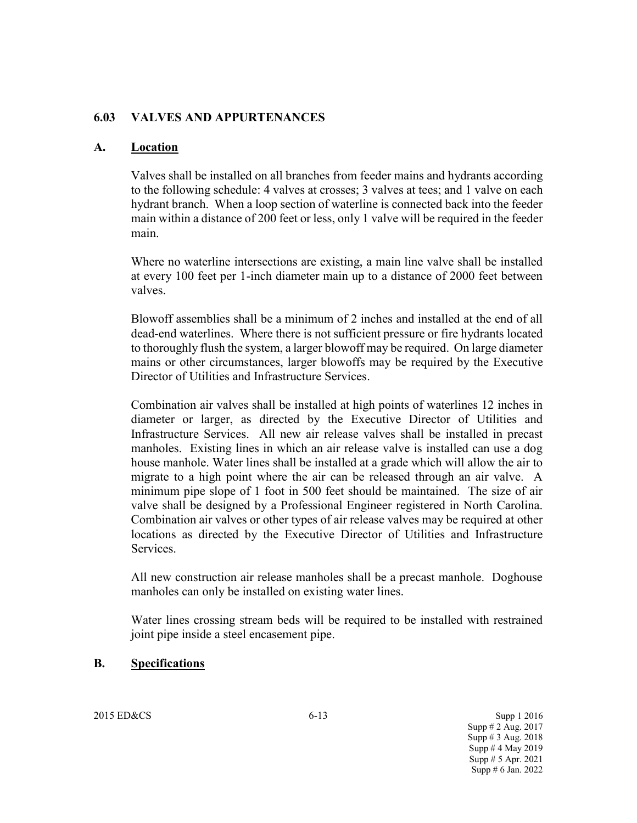### **6.03 VALVES AND APPURTENANCES**

### **A. Location**

Valves shall be installed on all branches from feeder mains and hydrants according to the following schedule: 4 valves at crosses; 3 valves at tees; and 1 valve on each hydrant branch. When a loop section of waterline is connected back into the feeder main within a distance of 200 feet or less, only 1 valve will be required in the feeder main.

Where no waterline intersections are existing, a main line valve shall be installed at every 100 feet per 1-inch diameter main up to a distance of 2000 feet between valves.

Blowoff assemblies shall be a minimum of 2 inches and installed at the end of all dead-end waterlines. Where there is not sufficient pressure or fire hydrants located to thoroughly flush the system, a larger blowoff may be required. On large diameter mains or other circumstances, larger blowoffs may be required by the Executive Director of Utilities and Infrastructure Services.

Combination air valves shall be installed at high points of waterlines 12 inches in diameter or larger, as directed by the Executive Director of Utilities and Infrastructure Services. All new air release valves shall be installed in precast manholes. Existing lines in which an air release valve is installed can use a dog house manhole. Water lines shall be installed at a grade which will allow the air to migrate to a high point where the air can be released through an air valve. A minimum pipe slope of 1 foot in 500 feet should be maintained. The size of air valve shall be designed by a Professional Engineer registered in North Carolina. Combination air valves or other types of air release valves may be required at other locations as directed by the Executive Director of Utilities and Infrastructure Services.

All new construction air release manholes shall be a precast manhole. Doghouse manholes can only be installed on existing water lines.

Water lines crossing stream beds will be required to be installed with restrained joint pipe inside a steel encasement pipe.

### **B. Specifications**

2015 ED&CS 6-13 Supp 1 2016 Supp # 2 Aug. 2017 Supp # 3 Aug. 2018 Supp # 4 May 2019 Supp # 5 Apr. 2021 Supp # 6 Jan. 2022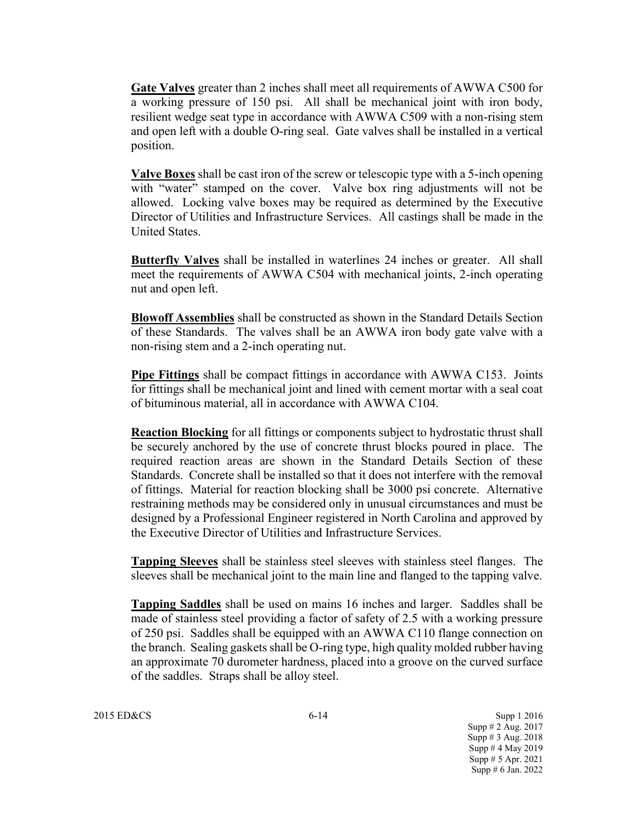**Gate Valves** greater than 2 inches shall meet all requirements of AWWA C500 for a working pressure of 150 psi. All shall be mechanical joint with iron body, resilient wedge seat type in accordance with AWWA C509 with a non-rising stem and open left with a double O-ring seal. Gate valves shall be installed in a vertical position.

**Valve Boxes** shall be cast iron of the screw or telescopic type with a 5-inch opening with "water" stamped on the cover. Valve box ring adjustments will not be allowed. Locking valve boxes may be required as determined by the Executive Director of Utilities and Infrastructure Services. All castings shall be made in the United States.

**Butterfly Valves** shall be installed in waterlines 24 inches or greater. All shall meet the requirements of AWWA C504 with mechanical joints, 2-inch operating nut and open left.

**Blowoff Assemblies** shall be constructed as shown in the Standard Details Section of these Standards. The valves shall be an AWWA iron body gate valve with a non-rising stem and a 2-inch operating nut.

**Pipe Fittings** shall be compact fittings in accordance with AWWA C153. Joints for fittings shall be mechanical joint and lined with cement mortar with a seal coat of bituminous material, all in accordance with AWWA C104.

**Reaction Blocking** for all fittings or components subject to hydrostatic thrust shall be securely anchored by the use of concrete thrust blocks poured in place. The required reaction areas are shown in the Standard Details Section of these Standards. Concrete shall be installed so that it does not interfere with the removal of fittings. Material for reaction blocking shall be 3000 psi concrete. Alternative restraining methods may be considered only in unusual circumstances and must be designed by a Professional Engineer registered in North Carolina and approved by the Executive Director of Utilities and Infrastructure Services.

**Tapping Sleeves** shall be stainless steel sleeves with stainless steel flanges. The sleeves shall be mechanical joint to the main line and flanged to the tapping valve.

**Tapping Saddles** shall be used on mains 16 inches and larger. Saddles shall be made of stainless steel providing a factor of safety of 2.5 with a working pressure of 250 psi. Saddles shall be equipped with an AWWA C110 flange connection on the branch. Sealing gaskets shall be O-ring type, high quality molded rubber having an approximate 70 durometer hardness, placed into a groove on the curved surface of the saddles. Straps shall be alloy steel.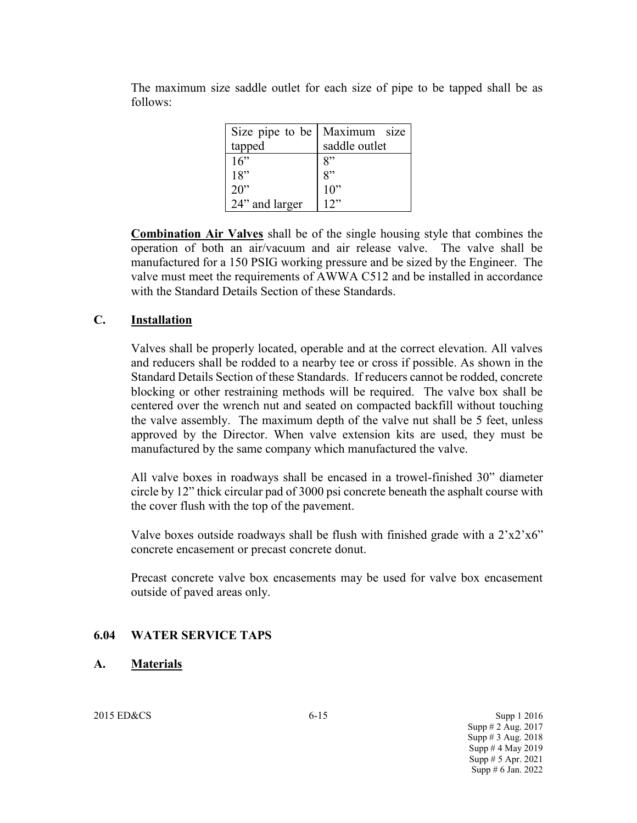| Size pipe to be   Maximum size |
|--------------------------------|
| saddle outlet                  |
| 8"                             |
| 8"                             |
| $10$ "                         |
|                                |
|                                |

The maximum size saddle outlet for each size of pipe to be tapped shall be as follows:

**Combination Air Valves** shall be of the single housing style that combines the operation of both an air/vacuum and air release valve. The valve shall be manufactured for a 150 PSIG working pressure and be sized by the Engineer. The valve must meet the requirements of AWWA C512 and be installed in accordance with the Standard Details Section of these Standards.

### **C. Installation**

Valves shall be properly located, operable and at the correct elevation. All valves and reducers shall be rodded to a nearby tee or cross if possible. As shown in the Standard Details Section of these Standards. If reducers cannot be rodded, concrete blocking or other restraining methods will be required. The valve box shall be centered over the wrench nut and seated on compacted backfill without touching the valve assembly. The maximum depth of the valve nut shall be 5 feet, unless approved by the Director. When valve extension kits are used, they must be manufactured by the same company which manufactured the valve.

All valve boxes in roadways shall be encased in a trowel-finished 30" diameter circle by 12" thick circular pad of 3000 psi concrete beneath the asphalt course with the cover flush with the top of the pavement.

Valve boxes outside roadways shall be flush with finished grade with a 2'x2'x6" concrete encasement or precast concrete donut.

Precast concrete valve box encasements may be used for valve box encasement outside of paved areas only.

#### **6.04 WATER SERVICE TAPS**

#### **A. Materials**

2015 ED&CS Supp 1 2016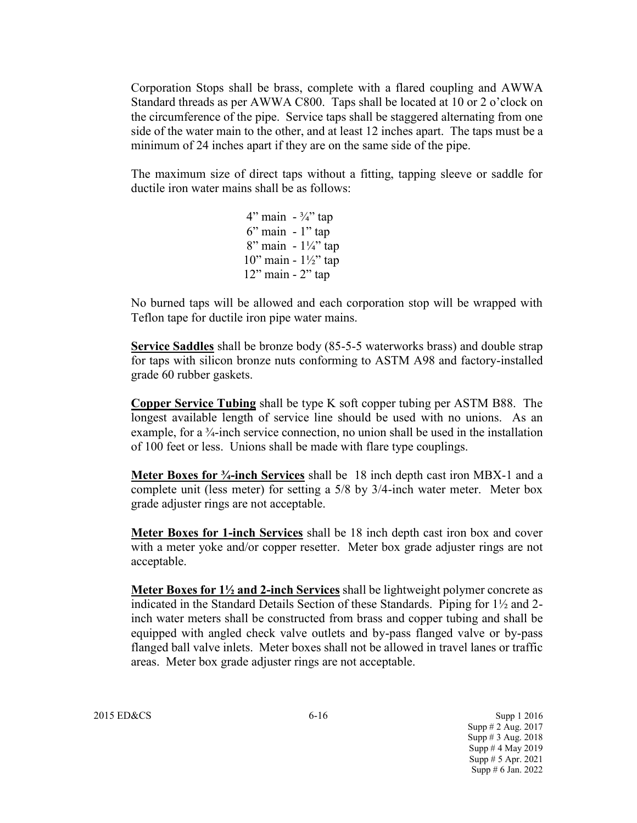Corporation Stops shall be brass, complete with a flared coupling and AWWA Standard threads as per AWWA C800. Taps shall be located at 10 or 2 o'clock on the circumference of the pipe. Service taps shall be staggered alternating from one side of the water main to the other, and at least 12 inches apart. The taps must be a minimum of 24 inches apart if they are on the same side of the pipe.

The maximum size of direct taps without a fitting, tapping sleeve or saddle for ductile iron water mains shall be as follows:

> 4" main  $-3/4$ " tap 6" main - 1" tap 8" main - 1¼" tap 10" main - 1½" tap 12" main - 2" tap

No burned taps will be allowed and each corporation stop will be wrapped with Teflon tape for ductile iron pipe water mains.

**Service Saddles** shall be bronze body (85-5-5 waterworks brass) and double strap for taps with silicon bronze nuts conforming to ASTM A98 and factory-installed grade 60 rubber gaskets.

**Copper Service Tubing** shall be type K soft copper tubing per ASTM B88. The longest available length of service line should be used with no unions. As an example, for a ¾-inch service connection, no union shall be used in the installation of 100 feet or less. Unions shall be made with flare type couplings.

**Meter Boxes for ¾-inch Services** shall be 18 inch depth cast iron MBX-1 and a complete unit (less meter) for setting a 5/8 by 3/4-inch water meter. Meter box grade adjuster rings are not acceptable.

**Meter Boxes for 1-inch Services** shall be 18 inch depth cast iron box and cover with a meter yoke and/or copper resetter. Meter box grade adjuster rings are not acceptable.

**Meter Boxes for 1½ and 2-inch Services** shall be lightweight polymer concrete as indicated in the Standard Details Section of these Standards. Piping for  $1\frac{1}{2}$  and 2inch water meters shall be constructed from brass and copper tubing and shall be equipped with angled check valve outlets and by-pass flanged valve or by-pass flanged ball valve inlets. Meter boxes shall not be allowed in travel lanes or traffic areas. Meter box grade adjuster rings are not acceptable.

2015 ED&CS 6-16 Supp 1 2016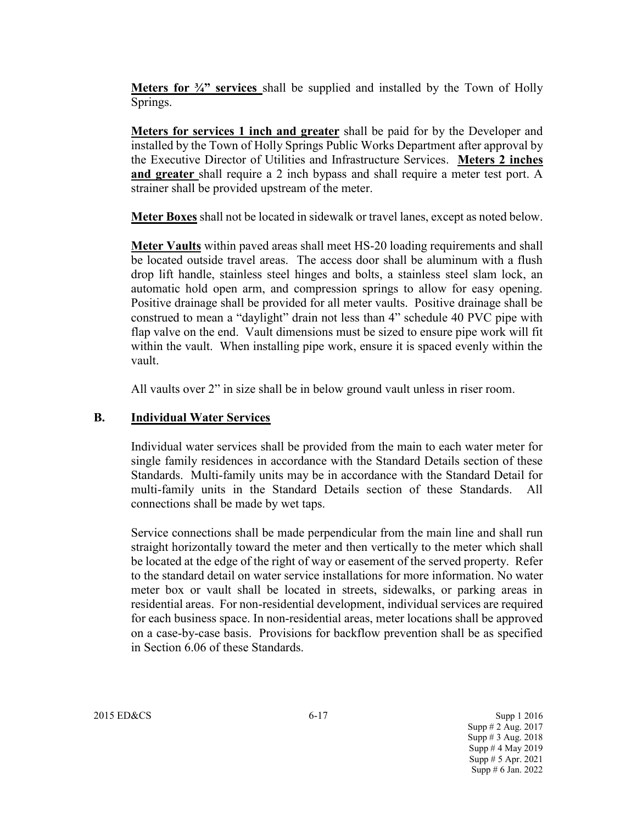**Meters for ¾" services** shall be supplied and installed by the Town of Holly Springs.

**Meters for services 1 inch and greater** shall be paid for by the Developer and installed by the Town of Holly Springs Public Works Department after approval by the Executive Director of Utilities and Infrastructure Services. **Meters 2 inches and greater** shall require a 2 inch bypass and shall require a meter test port. A strainer shall be provided upstream of the meter.

**Meter Boxes** shall not be located in sidewalk or travel lanes, except as noted below.

**Meter Vaults** within paved areas shall meet HS-20 loading requirements and shall be located outside travel areas. The access door shall be aluminum with a flush drop lift handle, stainless steel hinges and bolts, a stainless steel slam lock, an automatic hold open arm, and compression springs to allow for easy opening. Positive drainage shall be provided for all meter vaults. Positive drainage shall be construed to mean a "daylight" drain not less than 4" schedule 40 PVC pipe with flap valve on the end. Vault dimensions must be sized to ensure pipe work will fit within the vault. When installing pipe work, ensure it is spaced evenly within the vault.

All vaults over 2" in size shall be in below ground vault unless in riser room.

### **B. Individual Water Services**

Individual water services shall be provided from the main to each water meter for single family residences in accordance with the Standard Details section of these Standards. Multi-family units may be in accordance with the Standard Detail for multi-family units in the Standard Details section of these Standards. All connections shall be made by wet taps.

Service connections shall be made perpendicular from the main line and shall run straight horizontally toward the meter and then vertically to the meter which shall be located at the edge of the right of way or easement of the served property. Refer to the standard detail on water service installations for more information. No water meter box or vault shall be located in streets, sidewalks, or parking areas in residential areas. For non-residential development, individual services are required for each business space. In non-residential areas, meter locations shall be approved on a case-by-case basis. Provisions for backflow prevention shall be as specified in Section 6.06 of these Standards.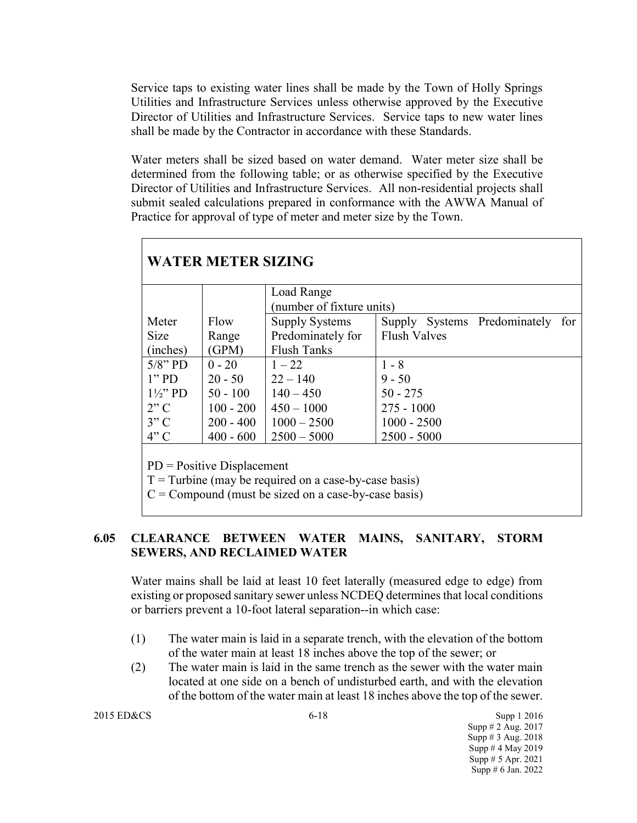Service taps to existing water lines shall be made by the Town of Holly Springs Utilities and Infrastructure Services unless otherwise approved by the Executive Director of Utilities and Infrastructure Services. Service taps to new water lines shall be made by the Contractor in accordance with these Standards.

Water meters shall be sized based on water demand. Water meter size shall be determined from the following table; or as otherwise specified by the Executive Director of Utilities and Infrastructure Services. All non-residential projects shall submit sealed calculations prepared in conformance with the AWWA Manual of Practice for approval of type of meter and meter size by the Town.

|                   |             | Load Range                |                     |                       |     |
|-------------------|-------------|---------------------------|---------------------|-----------------------|-----|
|                   |             | (number of fixture units) |                     |                       |     |
| Meter             | Flow        | <b>Supply Systems</b>     | Supply              | Systems Predominately | for |
| <b>Size</b>       | Range       | Predominately for         | <b>Flush Valves</b> |                       |     |
| (inches)          | (GPM)       | <b>Flush Tanks</b>        |                     |                       |     |
| $5/8$ " PD        | $0 - 20$    | $1 - 22$                  | $1 - 8$             |                       |     |
| $1"$ PD           | $20 - 50$   | $22 - 140$                | $9 - 50$            |                       |     |
| $1\frac{1}{2}$ PD | $50 - 100$  | $140 - 450$               | $50 - 275$          |                       |     |
| 2"C               | $100 - 200$ | $450 - 1000$              | $275 - 1000$        |                       |     |
| 3"C               | $200 - 400$ | $1000 - 2500$             | $1000 - 2500$       |                       |     |
| 4"C               | $400 - 600$ | $2500 - 5000$             | $2500 - 5000$       |                       |     |

 $T =$ Turbine (may be required on a case-by-case basis)

 $C =$  Compound (must be sized on a case-by-case basis)

## **6.05 CLEARANCE BETWEEN WATER MAINS, SANITARY, STORM SEWERS, AND RECLAIMED WATER**

Water mains shall be laid at least 10 feet laterally (measured edge to edge) from existing or proposed sanitary sewer unless NCDEQ determines that local conditions or barriers prevent a 10-foot lateral separation--in which case:

- (1) The water main is laid in a separate trench, with the elevation of the bottom of the water main at least 18 inches above the top of the sewer; or
- (2) The water main is laid in the same trench as the sewer with the water main located at one side on a bench of undisturbed earth, and with the elevation of the bottom of the water main at least 18 inches above the top of the sewer.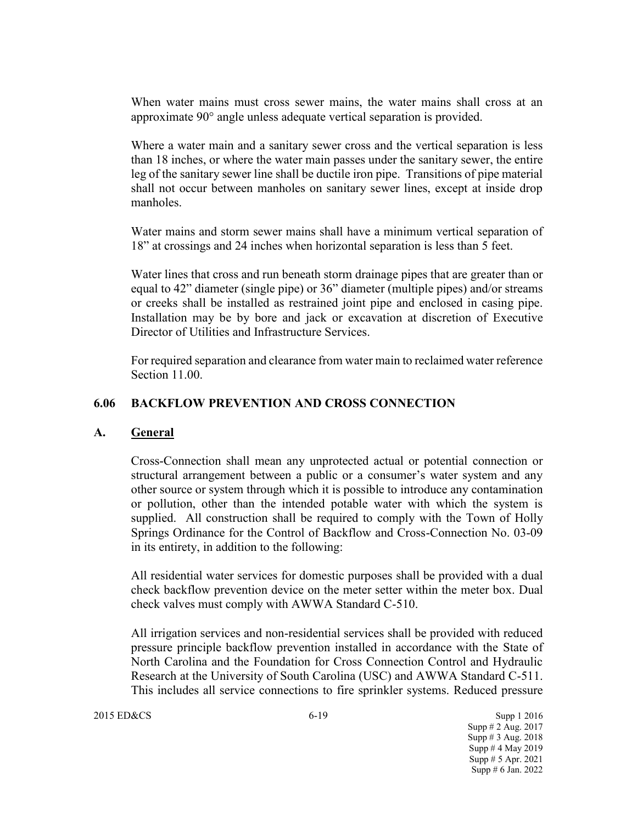When water mains must cross sewer mains, the water mains shall cross at an approximate 90° angle unless adequate vertical separation is provided.

Where a water main and a sanitary sewer cross and the vertical separation is less than 18 inches, or where the water main passes under the sanitary sewer, the entire leg of the sanitary sewer line shall be ductile iron pipe. Transitions of pipe material shall not occur between manholes on sanitary sewer lines, except at inside drop manholes.

Water mains and storm sewer mains shall have a minimum vertical separation of 18" at crossings and 24 inches when horizontal separation is less than 5 feet.

Water lines that cross and run beneath storm drainage pipes that are greater than or equal to 42" diameter (single pipe) or 36" diameter (multiple pipes) and/or streams or creeks shall be installed as restrained joint pipe and enclosed in casing pipe. Installation may be by bore and jack or excavation at discretion of Executive Director of Utilities and Infrastructure Services.

For required separation and clearance from water main to reclaimed water reference Section 11.00.

### **6.06 BACKFLOW PREVENTION AND CROSS CONNECTION**

#### **A. General**

Cross-Connection shall mean any unprotected actual or potential connection or structural arrangement between a public or a consumer's water system and any other source or system through which it is possible to introduce any contamination or pollution, other than the intended potable water with which the system is supplied. All construction shall be required to comply with the Town of Holly Springs Ordinance for the Control of Backflow and Cross-Connection No. 03-09 in its entirety, in addition to the following:

All residential water services for domestic purposes shall be provided with a dual check backflow prevention device on the meter setter within the meter box. Dual check valves must comply with AWWA Standard C-510.

All irrigation services and non-residential services shall be provided with reduced pressure principle backflow prevention installed in accordance with the State of North Carolina and the Foundation for Cross Connection Control and Hydraulic Research at the University of South Carolina (USC) and AWWA Standard C-511. This includes all service connections to fire sprinkler systems. Reduced pressure

2015 ED&CS 6-19 Supp 1 2016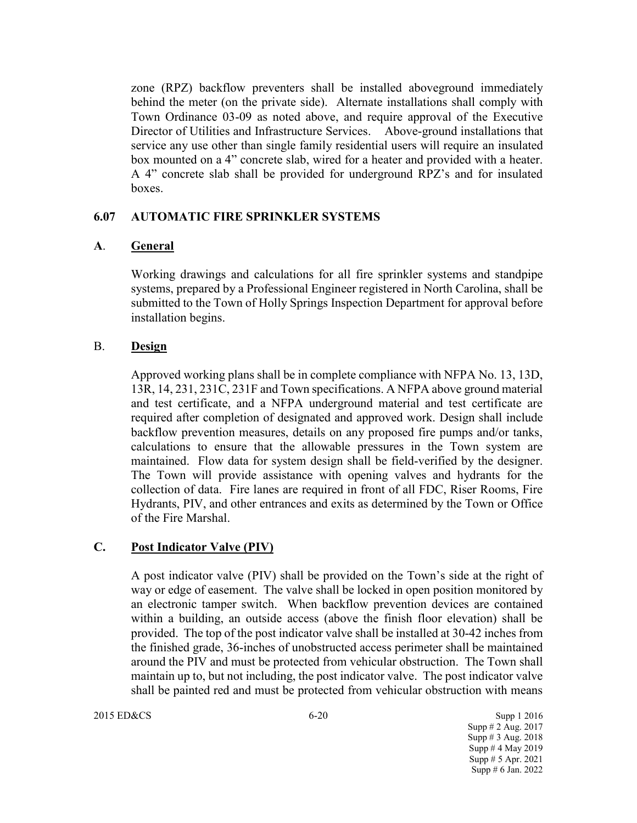zone (RPZ) backflow preventers shall be installed aboveground immediately behind the meter (on the private side). Alternate installations shall comply with Town Ordinance 03-09 as noted above, and require approval of the Executive Director of Utilities and Infrastructure Services. Above-ground installations that service any use other than single family residential users will require an insulated box mounted on a 4" concrete slab, wired for a heater and provided with a heater. A 4" concrete slab shall be provided for underground RPZ's and for insulated boxes.

### **6.07 AUTOMATIC FIRE SPRINKLER SYSTEMS**

### **A**. **General**

Working drawings and calculations for all fire sprinkler systems and standpipe systems, prepared by a Professional Engineer registered in North Carolina, shall be submitted to the Town of Holly Springs Inspection Department for approval before installation begins.

### B. **Design**

Approved working plans shall be in complete compliance with NFPA No. 13, 13D, 13R, 14, 231, 231C, 231F and Town specifications. A NFPA above ground material and test certificate, and a NFPA underground material and test certificate are required after completion of designated and approved work. Design shall include backflow prevention measures, details on any proposed fire pumps and/or tanks, calculations to ensure that the allowable pressures in the Town system are maintained. Flow data for system design shall be field-verified by the designer. The Town will provide assistance with opening valves and hydrants for the collection of data. Fire lanes are required in front of all FDC, Riser Rooms, Fire Hydrants, PIV, and other entrances and exits as determined by the Town or Office of the Fire Marshal.

### **C. Post Indicator Valve (PIV)**

A post indicator valve (PIV) shall be provided on the Town's side at the right of way or edge of easement. The valve shall be locked in open position monitored by an electronic tamper switch. When backflow prevention devices are contained within a building, an outside access (above the finish floor elevation) shall be provided. The top of the post indicator valve shall be installed at 30-42 inches from the finished grade, 36-inches of unobstructed access perimeter shall be maintained around the PIV and must be protected from vehicular obstruction. The Town shall maintain up to, but not including, the post indicator valve. The post indicator valve shall be painted red and must be protected from vehicular obstruction with means

#### 2015 ED&CS 6-20 Supp 1 2016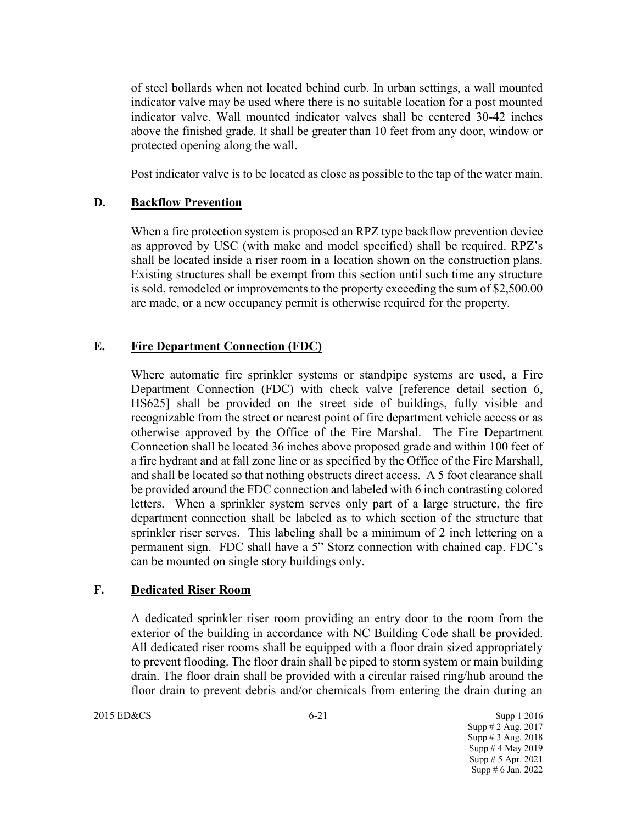of steel bollards when not located behind curb. In urban settings, a wall mounted indicator valve may be used where there is no suitable location for a post mounted indicator valve. Wall mounted indicator valves shall be centered 30-42 inches above the finished grade. It shall be greater than 10 feet from any door, window or protected opening along the wall.

Post indicator valve is to be located as close as possible to the tap of the water main.

### **D. Backflow Prevention**

When a fire protection system is proposed an RPZ type backflow prevention device as approved by USC (with make and model specified) shall be required. RPZ's shall be located inside a riser room in a location shown on the construction plans. Existing structures shall be exempt from this section until such time any structure is sold, remodeled or improvements to the property exceeding the sum of \$2,500.00 are made, or a new occupancy permit is otherwise required for the property.

### **E. Fire Department Connection (FDC)**

Where automatic fire sprinkler systems or standpipe systems are used, a Fire Department Connection (FDC) with check valve [reference detail section 6, HS625] shall be provided on the street side of buildings, fully visible and recognizable from the street or nearest point of fire department vehicle access or as otherwise approved by the Office of the Fire Marshal. The Fire Department Connection shall be located 36 inches above proposed grade and within 100 feet of a fire hydrant and at fall zone line or as specified by the Office of the Fire Marshall, and shall be located so that nothing obstructs direct access. A 5 foot clearance shall be provided around the FDC connection and labeled with 6 inch contrasting colored letters. When a sprinkler system serves only part of a large structure, the fire department connection shall be labeled as to which section of the structure that sprinkler riser serves. This labeling shall be a minimum of 2 inch lettering on a permanent sign. FDC shall have a 5" Storz connection with chained cap. FDC's can be mounted on single story buildings only.

### **F. Dedicated Riser Room**

A dedicated sprinkler riser room providing an entry door to the room from the exterior of the building in accordance with NC Building Code shall be provided. All dedicated riser rooms shall be equipped with a floor drain sized appropriately to prevent flooding. The floor drain shall be piped to storm system or main building drain. The floor drain shall be provided with a circular raised ring/hub around the floor drain to prevent debris and/or chemicals from entering the drain during an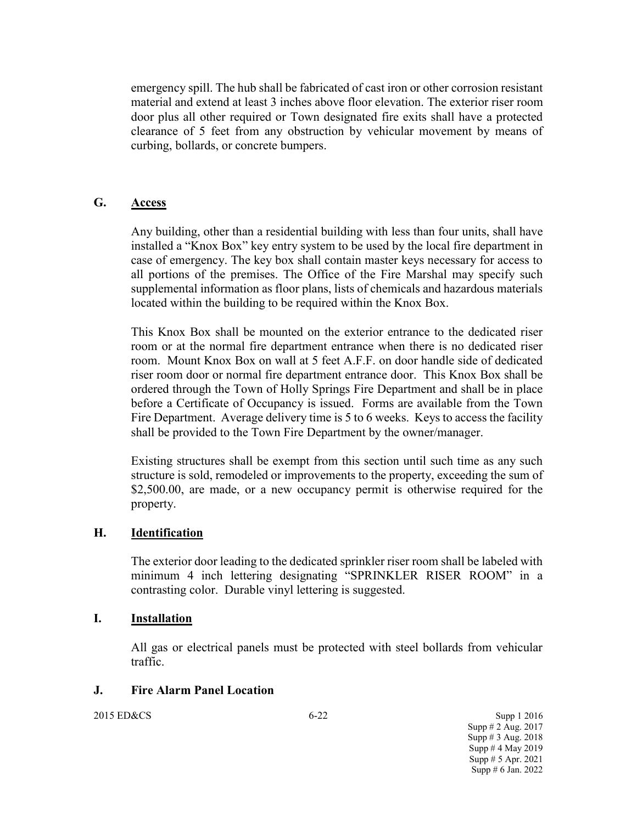emergency spill. The hub shall be fabricated of cast iron or other corrosion resistant material and extend at least 3 inches above floor elevation. The exterior riser room door plus all other required or Town designated fire exits shall have a protected clearance of 5 feet from any obstruction by vehicular movement by means of curbing, bollards, or concrete bumpers.

## **G. Access**

Any building, other than a residential building with less than four units, shall have installed a "Knox Box" key entry system to be used by the local fire department in case of emergency. The key box shall contain master keys necessary for access to all portions of the premises. The Office of the Fire Marshal may specify such supplemental information as floor plans, lists of chemicals and hazardous materials located within the building to be required within the Knox Box.

This Knox Box shall be mounted on the exterior entrance to the dedicated riser room or at the normal fire department entrance when there is no dedicated riser room. Mount Knox Box on wall at 5 feet A.F.F. on door handle side of dedicated riser room door or normal fire department entrance door. This Knox Box shall be ordered through the Town of Holly Springs Fire Department and shall be in place before a Certificate of Occupancy is issued. Forms are available from the Town Fire Department. Average delivery time is 5 to 6 weeks. Keys to access the facility shall be provided to the Town Fire Department by the owner/manager.

Existing structures shall be exempt from this section until such time as any such structure is sold, remodeled or improvements to the property, exceeding the sum of \$2,500.00, are made, or a new occupancy permit is otherwise required for the property.

#### **H. Identification**

The exterior door leading to the dedicated sprinkler riser room shall be labeled with minimum 4 inch lettering designating "SPRINKLER RISER ROOM" in a contrasting color. Durable vinyl lettering is suggested.

#### **I. Installation**

All gas or electrical panels must be protected with steel bollards from vehicular traffic.

#### **J. Fire Alarm Panel Location**

2015 ED&CS 6-22 Supp 1 2016 Supp # 2 Aug. 2017 Supp # 3 Aug. 2018 Supp  $# 4$  May 2019 Supp # 5 Apr. 2021 Supp # 6 Jan. 2022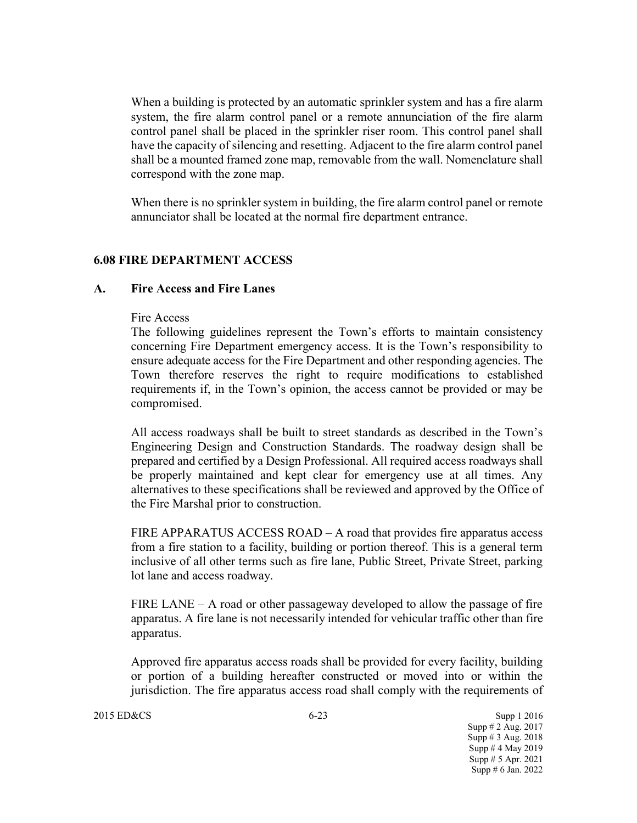When a building is protected by an automatic sprinkler system and has a fire alarm system, the fire alarm control panel or a remote annunciation of the fire alarm control panel shall be placed in the sprinkler riser room. This control panel shall have the capacity of silencing and resetting. Adjacent to the fire alarm control panel shall be a mounted framed zone map, removable from the wall. Nomenclature shall correspond with the zone map.

When there is no sprinkler system in building, the fire alarm control panel or remote annunciator shall be located at the normal fire department entrance.

### **6.08 FIRE DEPARTMENT ACCESS**

#### **A. Fire Access and Fire Lanes**

#### Fire Access

The following guidelines represent the Town's efforts to maintain consistency concerning Fire Department emergency access. It is the Town's responsibility to ensure adequate access for the Fire Department and other responding agencies. The Town therefore reserves the right to require modifications to established requirements if, in the Town's opinion, the access cannot be provided or may be compromised.

All access roadways shall be built to street standards as described in the Town's Engineering Design and Construction Standards. The roadway design shall be prepared and certified by a Design Professional. All required access roadways shall be properly maintained and kept clear for emergency use at all times. Any alternatives to these specifications shall be reviewed and approved by the Office of the Fire Marshal prior to construction.

FIRE APPARATUS ACCESS ROAD – A road that provides fire apparatus access from a fire station to a facility, building or portion thereof. This is a general term inclusive of all other terms such as fire lane, Public Street, Private Street, parking lot lane and access roadway.

FIRE LANE – A road or other passageway developed to allow the passage of fire apparatus. A fire lane is not necessarily intended for vehicular traffic other than fire apparatus.

Approved fire apparatus access roads shall be provided for every facility, building or portion of a building hereafter constructed or moved into or within the jurisdiction. The fire apparatus access road shall comply with the requirements of

2015 ED&CS 6-23 Supp 1 2016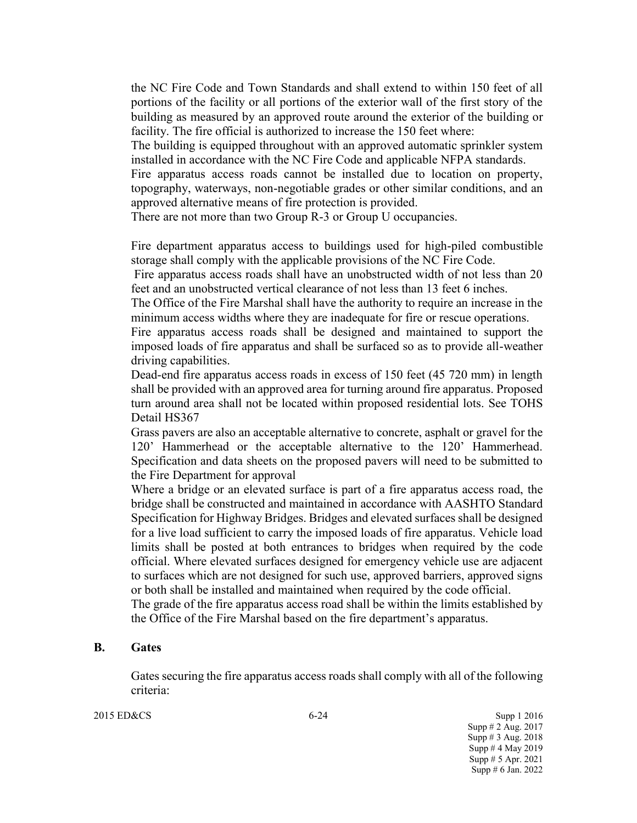the NC Fire Code and Town Standards and shall extend to within 150 feet of all portions of the facility or all portions of the exterior wall of the first story of the building as measured by an approved route around the exterior of the building or facility. The fire official is authorized to increase the 150 feet where:

The building is equipped throughout with an approved automatic sprinkler system installed in accordance with the NC Fire Code and applicable NFPA standards.

Fire apparatus access roads cannot be installed due to location on property, topography, waterways, non-negotiable grades or other similar conditions, and an approved alternative means of fire protection is provided.

There are not more than two Group R-3 or Group U occupancies.

Fire department apparatus access to buildings used for high-piled combustible storage shall comply with the applicable provisions of the NC Fire Code.

Fire apparatus access roads shall have an unobstructed width of not less than 20 feet and an unobstructed vertical clearance of not less than 13 feet 6 inches.

The Office of the Fire Marshal shall have the authority to require an increase in the minimum access widths where they are inadequate for fire or rescue operations.

Fire apparatus access roads shall be designed and maintained to support the imposed loads of fire apparatus and shall be surfaced so as to provide all-weather driving capabilities.

Dead-end fire apparatus access roads in excess of 150 feet (45 720 mm) in length shall be provided with an approved area for turning around fire apparatus. Proposed turn around area shall not be located within proposed residential lots. See TOHS Detail HS367

Grass pavers are also an acceptable alternative to concrete, asphalt or gravel for the 120' Hammerhead or the acceptable alternative to the 120' Hammerhead. Specification and data sheets on the proposed pavers will need to be submitted to the Fire Department for approval

Where a bridge or an elevated surface is part of a fire apparatus access road, the bridge shall be constructed and maintained in accordance with AASHTO Standard Specification for Highway Bridges. Bridges and elevated surfaces shall be designed for a live load sufficient to carry the imposed loads of fire apparatus. Vehicle load limits shall be posted at both entrances to bridges when required by the code official. Where elevated surfaces designed for emergency vehicle use are adjacent to surfaces which are not designed for such use, approved barriers, approved signs or both shall be installed and maintained when required by the code official.

The grade of the fire apparatus access road shall be within the limits established by the Office of the Fire Marshal based on the fire department's apparatus.

#### **B. Gates**

Gates securing the fire apparatus access roads shall comply with all of the following criteria:

2015 ED&CS 6-24 Supp 1 2016

Supp # 2 Aug. 2017 Supp # 3 Aug. 2018 Supp # 4 May 2019 Supp # 5 Apr. 2021 Supp # 6 Jan. 2022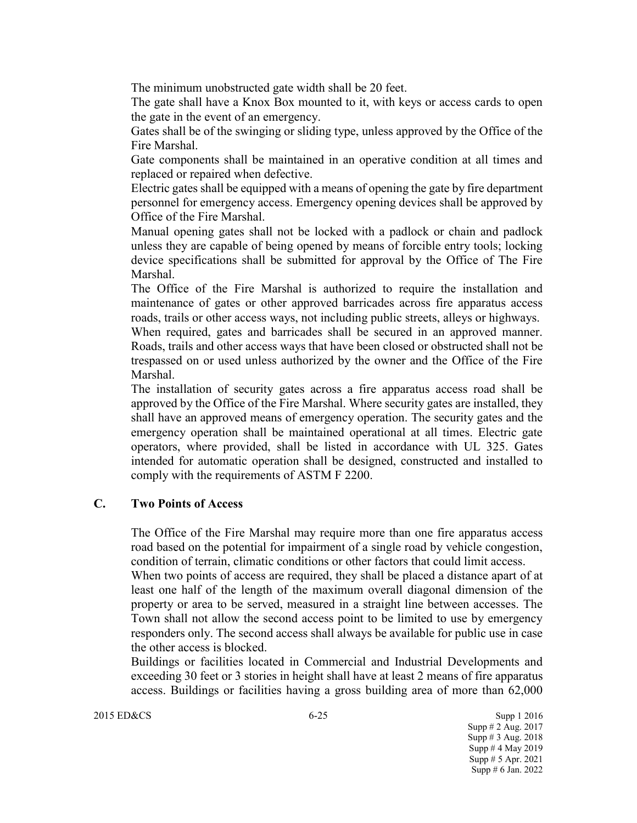The minimum unobstructed gate width shall be 20 feet.

The gate shall have a Knox Box mounted to it, with keys or access cards to open the gate in the event of an emergency.

Gates shall be of the swinging or sliding type, unless approved by the Office of the Fire Marshal.

Gate components shall be maintained in an operative condition at all times and replaced or repaired when defective.

Electric gates shall be equipped with a means of opening the gate by fire department personnel for emergency access. Emergency opening devices shall be approved by Office of the Fire Marshal.

Manual opening gates shall not be locked with a padlock or chain and padlock unless they are capable of being opened by means of forcible entry tools; locking device specifications shall be submitted for approval by the Office of The Fire Marshal.

The Office of the Fire Marshal is authorized to require the installation and maintenance of gates or other approved barricades across fire apparatus access roads, trails or other access ways, not including public streets, alleys or highways.

When required, gates and barricades shall be secured in an approved manner. Roads, trails and other access ways that have been closed or obstructed shall not be trespassed on or used unless authorized by the owner and the Office of the Fire Marshal.

The installation of security gates across a fire apparatus access road shall be approved by the Office of the Fire Marshal. Where security gates are installed, they shall have an approved means of emergency operation. The security gates and the emergency operation shall be maintained operational at all times. Electric gate operators, where provided, shall be listed in accordance with UL 325. Gates intended for automatic operation shall be designed, constructed and installed to comply with the requirements of ASTM F 2200.

### **C. Two Points of Access**

The Office of the Fire Marshal may require more than one fire apparatus access road based on the potential for impairment of a single road by vehicle congestion, condition of terrain, climatic conditions or other factors that could limit access.

When two points of access are required, they shall be placed a distance apart of at least one half of the length of the maximum overall diagonal dimension of the property or area to be served, measured in a straight line between accesses. The Town shall not allow the second access point to be limited to use by emergency responders only. The second access shall always be available for public use in case the other access is blocked.

Buildings or facilities located in Commercial and Industrial Developments and exceeding 30 feet or 3 stories in height shall have at least 2 means of fire apparatus access. Buildings or facilities having a gross building area of more than 62,000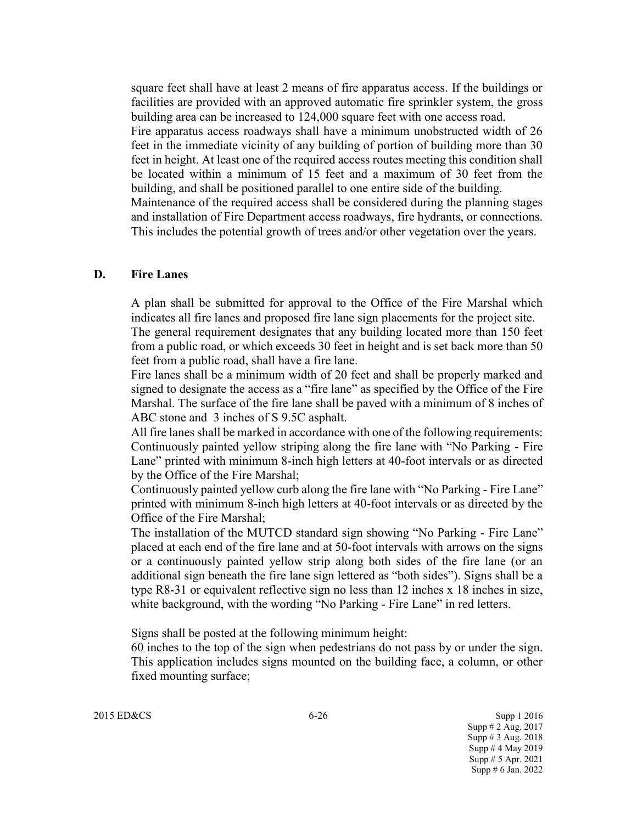square feet shall have at least 2 means of fire apparatus access. If the buildings or facilities are provided with an approved automatic fire sprinkler system, the gross building area can be increased to 124,000 square feet with one access road. Fire apparatus access roadways shall have a minimum unobstructed width of 26 feet in the immediate vicinity of any building of portion of building more than 30 feet in height. At least one of the required access routes meeting this condition shall be located within a minimum of 15 feet and a maximum of 30 feet from the building, and shall be positioned parallel to one entire side of the building. Maintenance of the required access shall be considered during the planning stages and installation of Fire Department access roadways, fire hydrants, or connections. This includes the potential growth of trees and/or other vegetation over the years.

#### **D. Fire Lanes**

A plan shall be submitted for approval to the Office of the Fire Marshal which indicates all fire lanes and proposed fire lane sign placements for the project site. The general requirement designates that any building located more than 150 feet from a public road, or which exceeds 30 feet in height and is set back more than 50 feet from a public road, shall have a fire lane.

Fire lanes shall be a minimum width of 20 feet and shall be properly marked and signed to designate the access as a "fire lane" as specified by the Office of the Fire Marshal. The surface of the fire lane shall be paved with a minimum of 8 inches of ABC stone and 3 inches of S 9.5C asphalt.

All fire lanes shall be marked in accordance with one of the following requirements: Continuously painted yellow striping along the fire lane with "No Parking - Fire Lane" printed with minimum 8-inch high letters at 40-foot intervals or as directed by the Office of the Fire Marshal;

Continuously painted yellow curb along the fire lane with "No Parking - Fire Lane" printed with minimum 8-inch high letters at 40-foot intervals or as directed by the Office of the Fire Marshal;

The installation of the MUTCD standard sign showing "No Parking - Fire Lane" placed at each end of the fire lane and at 50-foot intervals with arrows on the signs or a continuously painted yellow strip along both sides of the fire lane (or an additional sign beneath the fire lane sign lettered as "both sides"). Signs shall be a type  $R8-31$  or equivalent reflective sign no less than 12 inches x 18 inches in size, white background, with the wording "No Parking - Fire Lane" in red letters.

Signs shall be posted at the following minimum height:

60 inches to the top of the sign when pedestrians do not pass by or under the sign. This application includes signs mounted on the building face, a column, or other fixed mounting surface;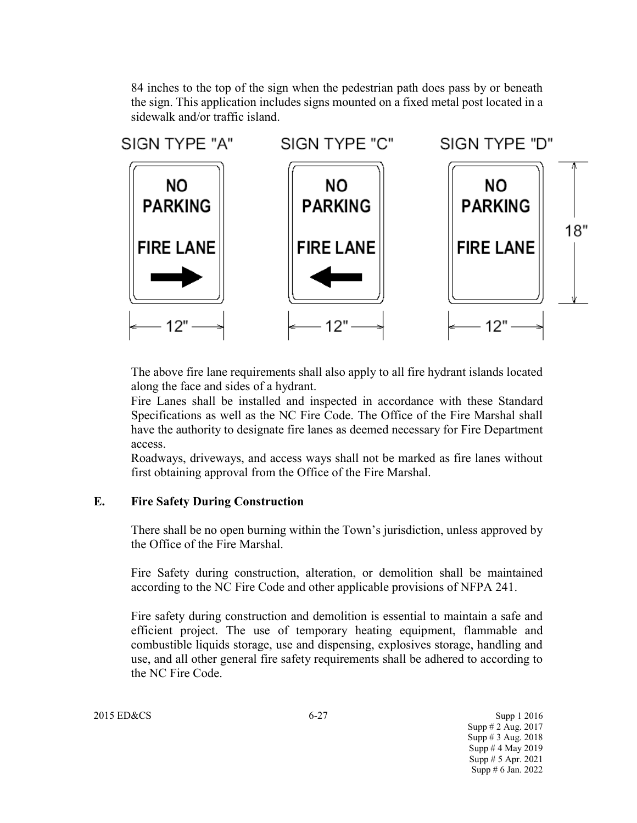84 inches to the top of the sign when the pedestrian path does pass by or beneath the sign. This application includes signs mounted on a fixed metal post located in a sidewalk and/or traffic island.



The above fire lane requirements shall also apply to all fire hydrant islands located along the face and sides of a hydrant.

Fire Lanes shall be installed and inspected in accordance with these Standard Specifications as well as the NC Fire Code. The Office of the Fire Marshal shall have the authority to designate fire lanes as deemed necessary for Fire Department access.

Roadways, driveways, and access ways shall not be marked as fire lanes without first obtaining approval from the Office of the Fire Marshal.

### **E. Fire Safety During Construction**

There shall be no open burning within the Town's jurisdiction, unless approved by the Office of the Fire Marshal.

Fire Safety during construction, alteration, or demolition shall be maintained according to the NC Fire Code and other applicable provisions of NFPA 241.

Fire safety during construction and demolition is essential to maintain a safe and efficient project. The use of temporary heating equipment, flammable and combustible liquids storage, use and dispensing, explosives storage, handling and use, and all other general fire safety requirements shall be adhered to according to the NC Fire Code.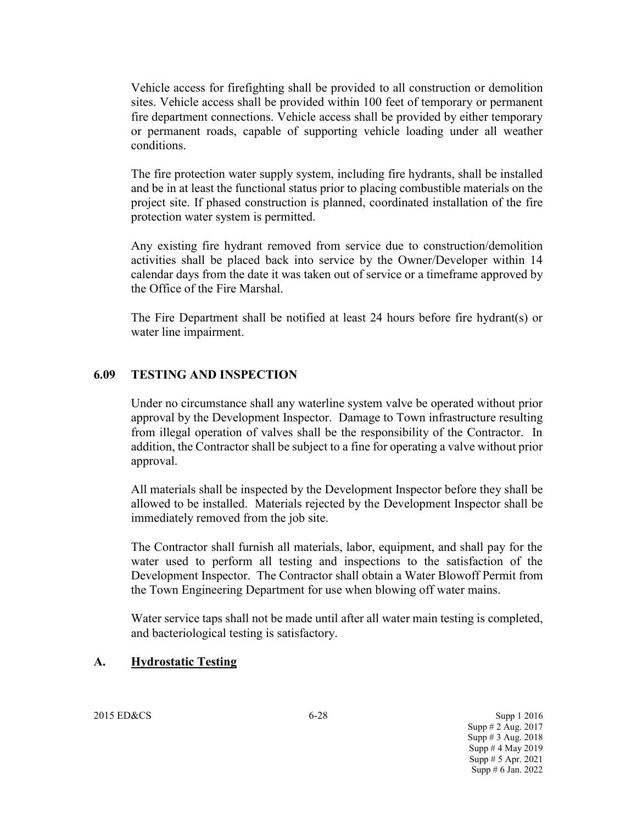Vehicle access for firefighting shall be provided to all construction or demolition sites. Vehicle access shall be provided within 100 feet of temporary or permanent fire department connections. Vehicle access shall be provided by either temporary or permanent roads, capable of supporting vehicle loading under all weather conditions.

The fire protection water supply system, including fire hydrants, shall be installed and be in at least the functional status prior to placing combustible materials on the project site. If phased construction is planned, coordinated installation of the fire protection water system is permitted.

Any existing fire hydrant removed from service due to construction/demolition activities shall be placed back into service by the Owner/Developer within 14 calendar days from the date it was taken out of service or a timeframe approved by the Office of the Fire Marshal.

The Fire Department shall be notified at least 24 hours before fire hydrant(s) or water line impairment.

### **6.09 TESTING AND INSPECTION**

Under no circumstance shall any waterline system valve be operated without prior approval by the Development Inspector. Damage to Town infrastructure resulting from illegal operation of valves shall be the responsibility of the Contractor. In addition, the Contractor shall be subject to a fine for operating a valve without prior approval.

All materials shall be inspected by the Development Inspector before they shall be allowed to be installed. Materials rejected by the Development Inspector shall be immediately removed from the job site.

The Contractor shall furnish all materials, labor, equipment, and shall pay for the water used to perform all testing and inspections to the satisfaction of the Development Inspector. The Contractor shall obtain a Water Blowoff Permit from the Town Engineering Department for use when blowing off water mains.

Water service taps shall not be made until after all water main testing is completed, and bacteriological testing is satisfactory.

#### **A. Hydrostatic Testing**

2015 ED&CS 6-28 Supp 1 2016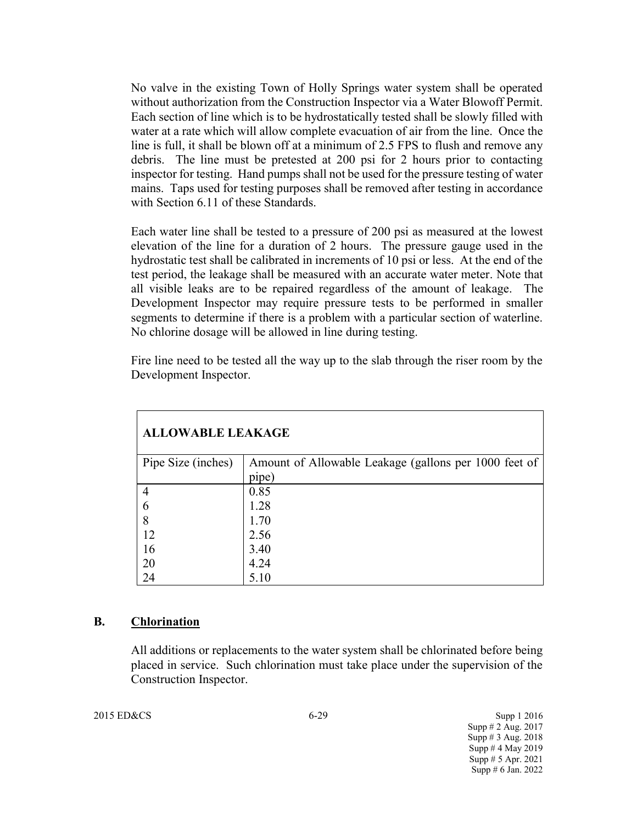No valve in the existing Town of Holly Springs water system shall be operated without authorization from the Construction Inspector via a Water Blowoff Permit. Each section of line which is to be hydrostatically tested shall be slowly filled with water at a rate which will allow complete evacuation of air from the line. Once the line is full, it shall be blown off at a minimum of 2.5 FPS to flush and remove any debris. The line must be pretested at 200 psi for 2 hours prior to contacting inspector for testing. Hand pumps shall not be used for the pressure testing of water mains. Taps used for testing purposes shall be removed after testing in accordance with Section 6.11 of these Standards.

Each water line shall be tested to a pressure of 200 psi as measured at the lowest elevation of the line for a duration of 2 hours. The pressure gauge used in the hydrostatic test shall be calibrated in increments of 10 psi or less. At the end of the test period, the leakage shall be measured with an accurate water meter. Note that all visible leaks are to be repaired regardless of the amount of leakage. The Development Inspector may require pressure tests to be performed in smaller segments to determine if there is a problem with a particular section of waterline. No chlorine dosage will be allowed in line during testing.

Fire line need to be tested all the way up to the slab through the riser room by the Development Inspector.

| <b>ALLOWABLE LEAKAGE</b> |                                                       |  |
|--------------------------|-------------------------------------------------------|--|
| Pipe Size (inches)       | Amount of Allowable Leakage (gallons per 1000 feet of |  |
|                          | pipe)                                                 |  |
| $\overline{4}$           | 0.85                                                  |  |
| 6                        | 1.28                                                  |  |
| 8                        | 1.70                                                  |  |
| 12                       | 2.56                                                  |  |
| 16                       | 3.40                                                  |  |
| 20                       | 4.24                                                  |  |
| 24                       | 5.10                                                  |  |

#### **B. Chlorination**

All additions or replacements to the water system shall be chlorinated before being placed in service. Such chlorination must take place under the supervision of the Construction Inspector.

2015 ED&CS Supp 1 2016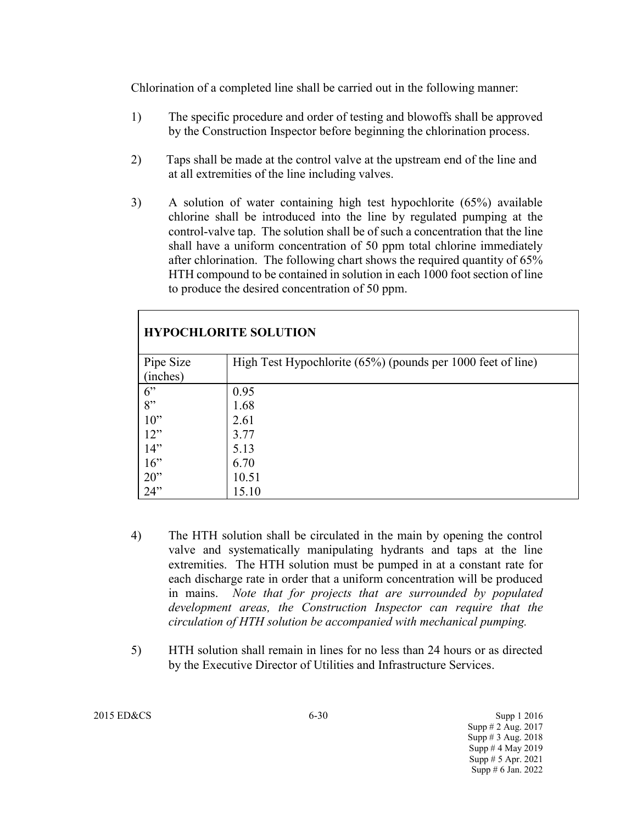Chlorination of a completed line shall be carried out in the following manner:

- 1) The specific procedure and order of testing and blowoffs shall be approved by the Construction Inspector before beginning the chlorination process.
- 2) Taps shall be made at the control valve at the upstream end of the line and at all extremities of the line including valves.
- 3) A solution of water containing high test hypochlorite (65%) available chlorine shall be introduced into the line by regulated pumping at the control-valve tap. The solution shall be of such a concentration that the line shall have a uniform concentration of 50 ppm total chlorine immediately after chlorination. The following chart shows the required quantity of 65% HTH compound to be contained in solution in each 1000 foot section of line to produce the desired concentration of 50 ppm.

| <b>HYPOCHLORITE SOLUTION</b> |                                                             |  |  |
|------------------------------|-------------------------------------------------------------|--|--|
| Pipe Size                    | High Test Hypochlorite (65%) (pounds per 1000 feet of line) |  |  |
| (inches)                     |                                                             |  |  |
| 6"                           | 0.95                                                        |  |  |
| 8"                           | 1.68                                                        |  |  |
| $10$ "                       | 2.61                                                        |  |  |
| 12"                          | 3.77                                                        |  |  |
| 14"                          | 5.13                                                        |  |  |
| $16$ "                       | 6.70                                                        |  |  |
| $20$ "                       | 10.51                                                       |  |  |
| 24"                          | 15.10                                                       |  |  |

- 4) The HTH solution shall be circulated in the main by opening the control valve and systematically manipulating hydrants and taps at the line extremities. The HTH solution must be pumped in at a constant rate for each discharge rate in order that a uniform concentration will be produced in mains. *Note that for projects that are surrounded by populated development areas, the Construction Inspector can require that the circulation of HTH solution be accompanied with mechanical pumping.*
- 5) HTH solution shall remain in lines for no less than 24 hours or as directed by the Executive Director of Utilities and Infrastructure Services.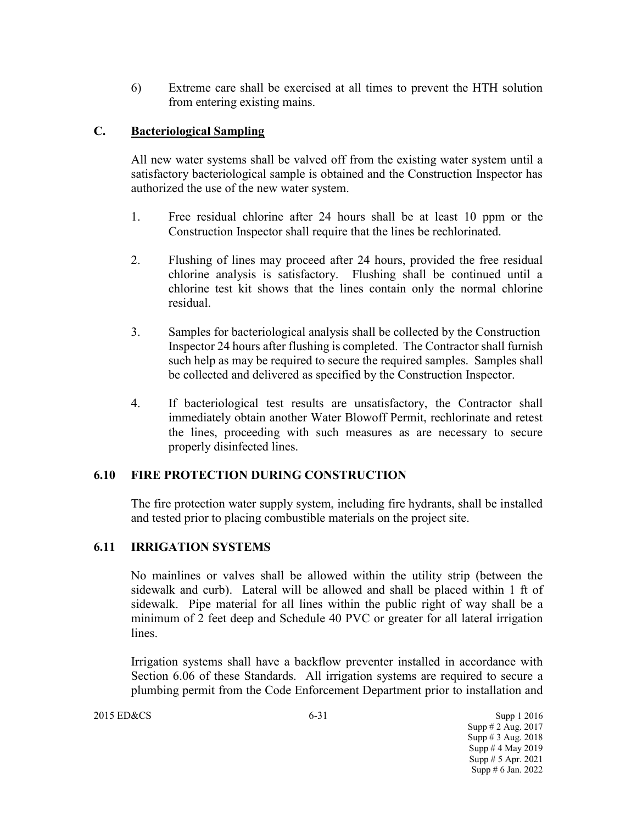6) Extreme care shall be exercised at all times to prevent the HTH solution from entering existing mains.

## **C. Bacteriological Sampling**

All new water systems shall be valved off from the existing water system until a satisfactory bacteriological sample is obtained and the Construction Inspector has authorized the use of the new water system.

- 1. Free residual chlorine after 24 hours shall be at least 10 ppm or the Construction Inspector shall require that the lines be rechlorinated.
- 2. Flushing of lines may proceed after 24 hours, provided the free residual chlorine analysis is satisfactory. Flushing shall be continued until a chlorine test kit shows that the lines contain only the normal chlorine residual.
- 3. Samples for bacteriological analysis shall be collected by the Construction Inspector 24 hours after flushing is completed. The Contractor shall furnish such help as may be required to secure the required samples. Samples shall be collected and delivered as specified by the Construction Inspector.
- 4. If bacteriological test results are unsatisfactory, the Contractor shall immediately obtain another Water Blowoff Permit, rechlorinate and retest the lines, proceeding with such measures as are necessary to secure properly disinfected lines.

### **6.10 FIRE PROTECTION DURING CONSTRUCTION**

The fire protection water supply system, including fire hydrants, shall be installed and tested prior to placing combustible materials on the project site.

### **6.11 IRRIGATION SYSTEMS**

No mainlines or valves shall be allowed within the utility strip (between the sidewalk and curb). Lateral will be allowed and shall be placed within 1 ft of sidewalk. Pipe material for all lines within the public right of way shall be a minimum of 2 feet deep and Schedule 40 PVC or greater for all lateral irrigation lines.

Irrigation systems shall have a backflow preventer installed in accordance with Section 6.06 of these Standards. All irrigation systems are required to secure a plumbing permit from the Code Enforcement Department prior to installation and

2015 ED&CS 6-31 Supp 1 2016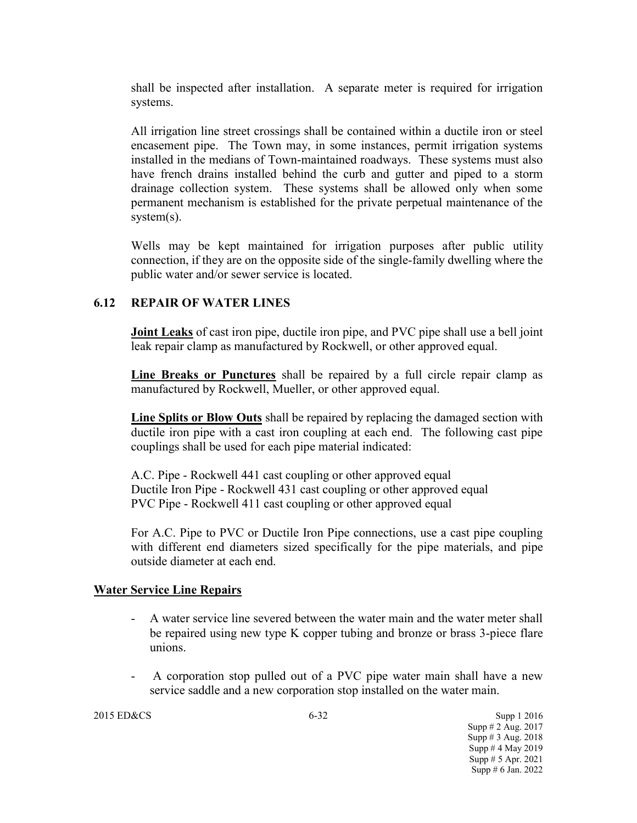shall be inspected after installation. A separate meter is required for irrigation systems.

All irrigation line street crossings shall be contained within a ductile iron or steel encasement pipe. The Town may, in some instances, permit irrigation systems installed in the medians of Town-maintained roadways. These systems must also have french drains installed behind the curb and gutter and piped to a storm drainage collection system. These systems shall be allowed only when some permanent mechanism is established for the private perpetual maintenance of the system(s).

Wells may be kept maintained for irrigation purposes after public utility connection, if they are on the opposite side of the single-family dwelling where the public water and/or sewer service is located.

### **6.12 REPAIR OF WATER LINES**

**Joint Leaks** of cast iron pipe, ductile iron pipe, and PVC pipe shall use a bell joint leak repair clamp as manufactured by Rockwell, or other approved equal.

**Line Breaks or Punctures** shall be repaired by a full circle repair clamp as manufactured by Rockwell, Mueller, or other approved equal.

**Line Splits or Blow Outs** shall be repaired by replacing the damaged section with ductile iron pipe with a cast iron coupling at each end. The following cast pipe couplings shall be used for each pipe material indicated:

A.C. Pipe - Rockwell 441 cast coupling or other approved equal Ductile Iron Pipe - Rockwell 431 cast coupling or other approved equal PVC Pipe - Rockwell 411 cast coupling or other approved equal

For A.C. Pipe to PVC or Ductile Iron Pipe connections, use a cast pipe coupling with different end diameters sized specifically for the pipe materials, and pipe outside diameter at each end.

#### **Water Service Line Repairs**

- A water service line severed between the water main and the water meter shall be repaired using new type K copper tubing and bronze or brass 3-piece flare unions.
- A corporation stop pulled out of a PVC pipe water main shall have a new service saddle and a new corporation stop installed on the water main.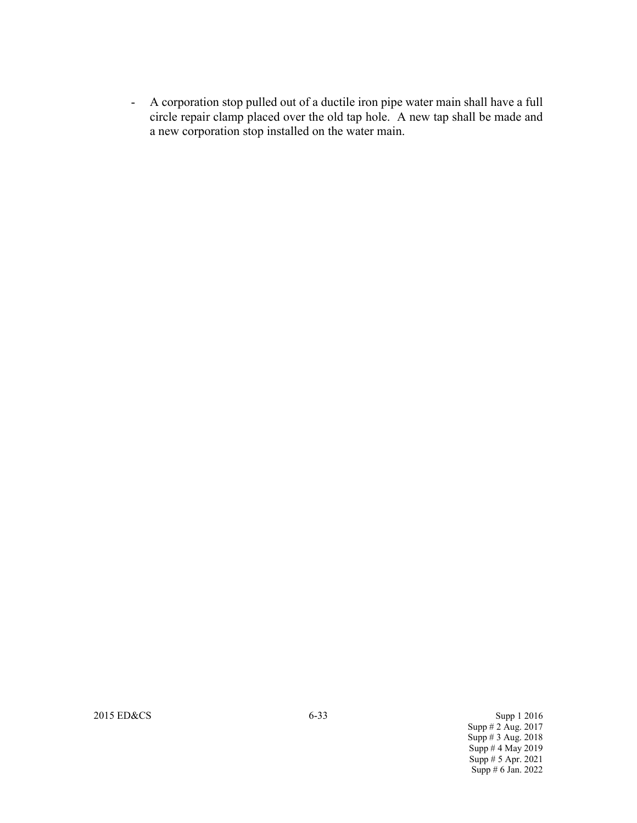- A corporation stop pulled out of a ductile iron pipe water main shall have a full circle repair clamp placed over the old tap hole. A new tap shall be made and a new corporation stop installed on the water main.

2015 ED&CS Supp 1 2016